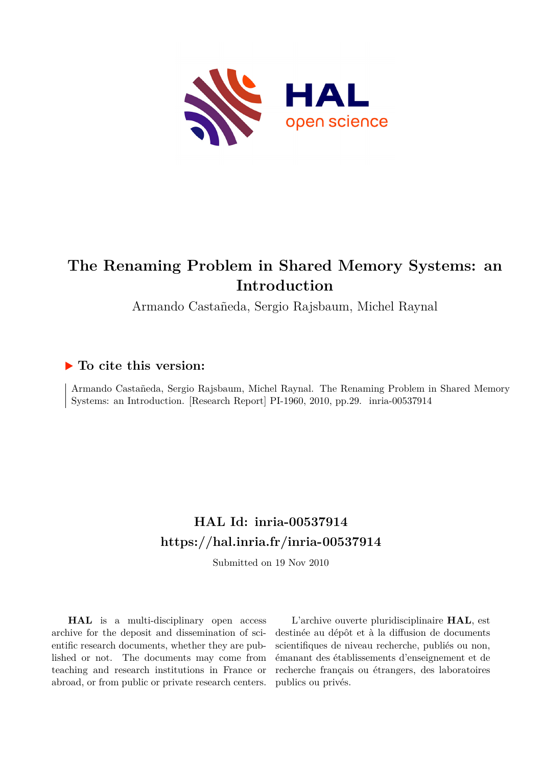

# **The Renaming Problem in Shared Memory Systems: an Introduction**

Armando Castañeda, Sergio Rajsbaum, Michel Raynal

## **To cite this version:**

Armando Castañeda, Sergio Rajsbaum, Michel Raynal. The Renaming Problem in Shared Memory Systems: an Introduction. [Research Report] PI-1960, 2010, pp.29. inria-00537914

# **HAL Id: inria-00537914 <https://hal.inria.fr/inria-00537914>**

Submitted on 19 Nov 2010

**HAL** is a multi-disciplinary open access archive for the deposit and dissemination of scientific research documents, whether they are published or not. The documents may come from teaching and research institutions in France or abroad, or from public or private research centers.

L'archive ouverte pluridisciplinaire **HAL**, est destinée au dépôt et à la diffusion de documents scientifiques de niveau recherche, publiés ou non, émanant des établissements d'enseignement et de recherche français ou étrangers, des laboratoires publics ou privés.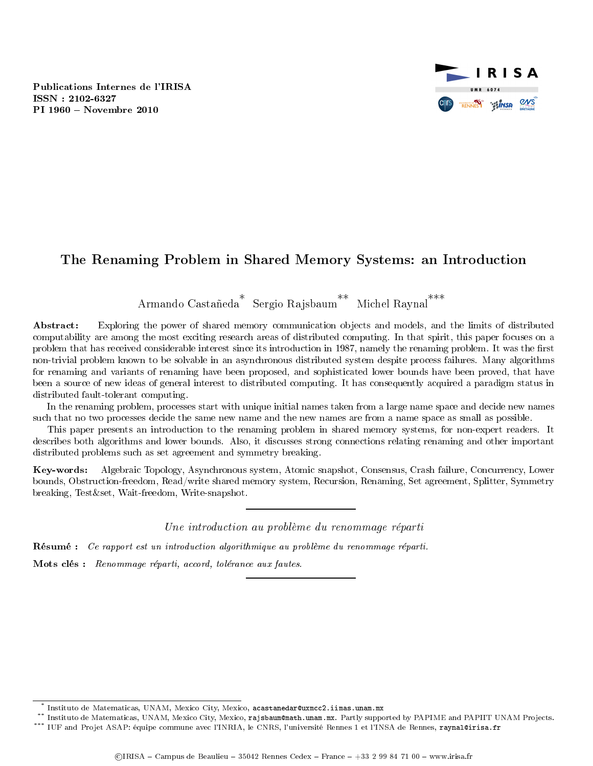Publications Internes de l'IRISA ISSN : 2102-6327 PI 1960 Novembre 2010



## The Renaming Problem in Shared Memory Systems: an Introduction

Armando Castañeda\* Sergio Rajsbaum\*\* Michel Raynal\*\*\*

Abstract: Exploring the power of shared memory communication objects and models, and the limits of distributed computability are among the most exciting research areas of distributed computing. In that spirit, this paper focuses on a problem that has received considerable interest since its introduction in 1987, namely the renaming problem. It was the first non-trivial problem known to be solvable in an asynchronous distributed system despite process failures. Many algorithms for renaming and variants of renaming have been proposed, and sophisticated lower bounds have been proved, that have been a source of new ideas of general interest to distributed computing. It has consequently acquired a paradigm status in distributed fault-tolerant computing.

In the renaming problem, processes start with unique initial names taken from a large name space and decide new names such that no two processes decide the same new name and the new names are from a name space as small as possible.

This paper presents an introduction to the renaming problem in shared memory systems, for non-expert readers. It describes both algorithms and lower bounds. Also, it discusses strong connections relating renaming and other important distributed problems such as set agreement and symmetry breaking.

Key-words: Algebraic Topology, Asynchronous system, Atomic snapshot, Consensus, Crash failure, Concurrency, Lower bounds, Obstruction-freedom, Read/write shared memory system, Recursion, Renaming, Set agreement, Splitter, Symmetry breaking, Test&set, Wait-freedom, Write-snapshot.

Une introduction au problème du renommage réparti

Résumé : Ce rapport est un introduction algorithmique au problème du renommage réparti.

Mots clés : Renommage réparti, accord, tolérance aux fautes.

<sup>\*</sup> Instituto de Matematicas, UNAM, Mexico City, Mexico, acastanedar@uxmcc2.iimas.unam.mx

Instituto de Matematicas, UNAM, Mexico City, Mexico, rajsbaum@math.unam.mx. Partly supported by PAPIME and PAPIIT UNAM Projects.

<sup>\*\*\*</sup> IUF and Projet ASAP: équipe commune avec l'INRIA, le CNRS, l'université Rennes 1 et l'INSA de Rennes, raynal@irisa.fr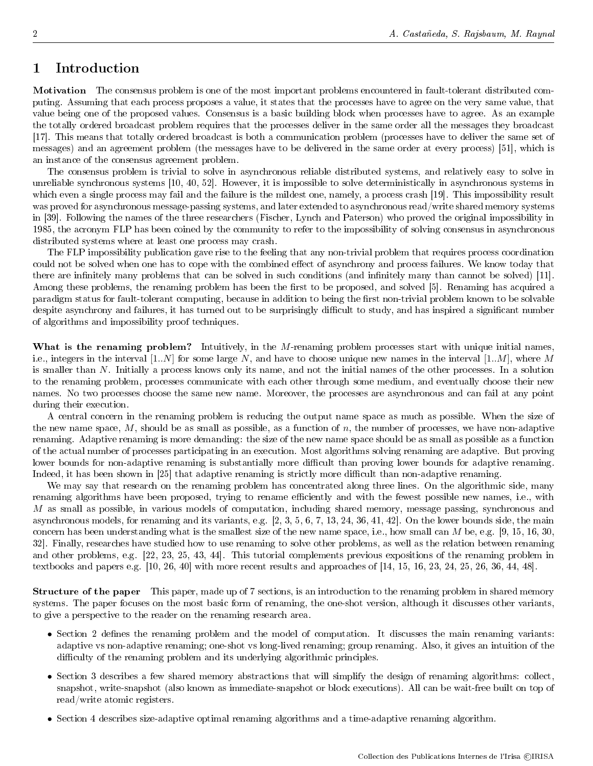## 1 Introduction

Motivation The consensus problem is one of the most important problems encountered in fault-tolerant distributed computing. Assuming that each process proposes a value, it states that the processes have to agree on the very same value, that value being one of the proposed values. Consensus is a basic building block when processes have to agree. As an example the totally ordered broadcast problem requires that the processes deliver in the same order all the messages they broadcast [17]. This means that totally ordered broadcast is both a communication problem (processes have to deliver the same set of messages) and an agreement problem (the messages have to be delivered in the same order at every process) [51], which is an instance of the consensus agreement problem.

The consensus problem is trivial to solve in asynchronous reliable distributed systems, and relatively easy to solve in unreliable synchronous systems [10, 40, 52]. However, it is impossible to solve deterministically in asynchronous systems in which even a single process may fail and the failure is the mildest one, namely, a process crash [19]. This impossibility result was proved for asynchronous message-passing systems, and later extended to asynchronous read/write shared memory systems in [39]. Following the names of the three researchers (Fischer, Lynch and Paterson) who proved the original impossibility in 1985, the acronym FLP has been coined by the community to refer to the impossibility of solving consensus in asynchronous distributed systems where at least one process may crash.

The FLP impossibility publication gave rise to the feeling that any non-trivial problem that requires process coordination could not be solved when one has to cope with the combined effect of asynchrony and process failures. We know today that there are infinitely many problems that can be solved in such conditions (and infinitely many than cannot be solved) [11]. Among these problems, the renaming problem has been the first to be proposed, and solved [5]. Renaming has acquired a paradigm status for fault-tolerant computing, because in addition to being the first non-trivial problem known to be solvable despite asynchrony and failures, it has turned out to be surprisingly difficult to study, and has inspired a significant number of algorithms and impossibility proof techniques.

What is the renaming problem? Intuitively, in the M-renaming problem processes start with unique initial names, i.e., integers in the interval  $[1..N]$  for some large N, and have to choose unique new names in the interval  $[1..M]$ , where M is smaller than N. Initially a process knows only its name, and not the initial names of the other processes. In a solution to the renaming problem, processes communicate with each other through some medium, and eventually choose their new names. No two processes choose the same new name. Moreover, the processes are asynchronous and can fail at any point during their execution.

A central concern in the renaming problem is reducing the output name space as much as possible. When the size of the new name space,  $M$ , should be as small as possible, as a function of  $n$ , the number of processes, we have non-adaptive renaming. Adaptive renaming is more demanding: the size of the new name space should be as small as possible as a function of the actual number of processes participating in an execution. Most algorithms solving renaming are adaptive. But proving lower bounds for non-adaptive renaming is substantially more difficult than proving lower bounds for adaptive renaming. Indeed, it has been shown in [25] that adaptive renaming is strictly more difficult than non-adaptive renaming.

We may say that research on the renaming problem has concentrated along three lines. On the algorithmic side, many renaming algorithms have been proposed, trying to rename efficiently and with the fewest possible new names, i.e., with M as small as possible, in various models of computation, including shared memory, message passing, synchronous and asynchronous models, for renaming and its variants, e.g. [2, 3, 5, 6, 7, 13, 24, 36, 41, 42]. On the lower bounds side, the main concern has been understanding what is the smallest size of the new name space, i.e., how small can  $M$  be, e.g. [9, 15, 16, 30, 32]. Finally, researches have studied how to use renaming to solve other problems, as well as the relation between renaming and other problems, e.g. [22, 23, 25, 43, 44]. This tutorial complements previous expositions of the renaming problem in textbooks and papers e.g. [10, 26, 40] with more recent results and approaches of [14, 15, 16, 23, 24, 25, 26, 36, 44, 48].

Structure of the paper This paper, made up of 7 sections, is an introduction to the renaming problem in shared memory systems. The paper focuses on the most basic form of renaming, the one-shot version, although it discusses other variants, to give a perspective to the reader on the renaming research area.

- Section 2 defines the renaming problem and the model of computation. It discusses the main renaming variants: adaptive vs non-adaptive renaming; one-shot vs long-lived renaming; group renaming. Also, it gives an intuition of the difficulty of the renaming problem and its underlying algorithmic principles.
- Section 3 describes a few shared memory abstractions that will simplify the design of renaming algorithms: collect, snapshot, write-snapshot (also known as immediate-snapshot or block executions). All can be wait-free built on top of read/write atomic registers.
- Section 4 describes size-adaptive optimal renaming algorithms and a time-adaptive renaming algorithm.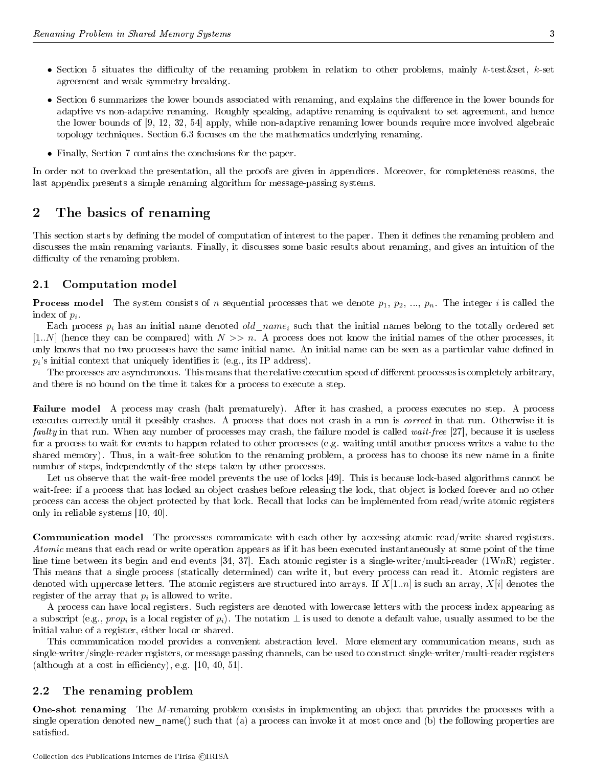- Section 5 situates the difficulty of the renaming problem in relation to other problems, mainly k-test &set, k-set agreement and weak symmetry breaking.
- Section 6 summarizes the lower bounds associated with renaming, and explains the difference in the lower bounds for adaptive vs non-adaptive renaming. Roughly speaking, adaptive renaming is equivalent to set agreement, and hence the lower bounds of [9, 12, 32, 54] apply, while non-adaptive renaming lower bounds require more involved algebraic topology techniques. Section 6.3 focuses on the the mathematics underlying renaming.
- Finally, Section 7 contains the conclusions for the paper.

In order not to overload the presentation, all the proofs are given in appendices. Moreover, for completeness reasons, the last appendix presents a simple renaming algorithm for message-passing systems.

## 2 The basics of renaming

This section starts by defining the model of computation of interest to the paper. Then it defines the renaming problem and discusses the main renaming variants. Finally, it discusses some basic results about renaming, and gives an intuition of the difficulty of the renaming problem.

#### 2.1 Computation model

**Process model** The system consists of n sequential processes that we denote  $p_1, p_2, ..., p_n$ . The integer i is called the index of  $p_i$ .

Each process  $p_i$  has an initial name denoted  $old\_name_i$  such that the initial names belong to the totally ordered set  $[1..N]$  (hence they can be compared) with  $N >> n$ . A process does not know the initial names of the other processes, it only knows that no two processes have the same initial name. An initial name can be seen as a particular value dened in  $p_i$ 's initial context that uniquely identifies it (e.g., its IP address).

The processes are asynchronous. This means that the relative execution speed of different processes is completely arbitrary, and there is no bound on the time it takes for a process to execute a step.

Failure model A process may crash (halt prematurely). After it has crashed, a process executes no step. A process executes correctly until it possibly crashes. A process that does not crash in a run is correct in that run. Otherwise it is faulty in that run. When any number of processes may crash, the failure model is called wait-free [27], because it is useless for a process to wait for events to happen related to other processes (e.g. waiting until another process writes a value to the shared memory). Thus, in a wait-free solution to the renaming problem, a process has to choose its new name in a finite number of steps, independently of the steps taken by other processes.

Let us observe that the wait-free model prevents the use of locks [49]. This is because lock-based algorithms cannot be wait-free: if a process that has locked an object crashes before releasing the lock, that object is locked forever and no other process can access the object protected by that lock. Recall that locks can be implemented from read/write atomic registers only in reliable systems [10, 40].

Communication model The processes communicate with each other by accessing atomic read/write shared registers. Atomic means that each read or write operation appears as if it has been executed instantaneously at some point of the time line time between its begin and end events [34, 37]. Each atomic register is a single-writer/multi-reader  $(1WnR)$  register. This means that a single process (statically determined) can write it, but every process can read it. Atomic registers are denoted with uppercase letters. The atomic registers are structured into arrays. If  $X[1..n]$  is such an array,  $X[i]$  denotes the register of the array that  $p_i$  is allowed to write.

A process can have local registers. Such registers are denoted with lowercase letters with the process index appearing as a subscript (e.g.,  $prop_i$  is a local register of  $p_i$ ). The notation  $\bot$  is used to denote a default value, usually assumed to be the initial value of a register, either local or shared.

This communication model provides a convenient abstraction level. More elementary communication means, such as single-writer/single-reader registers, or message passing channels, can be used to construct single-writer/multi-reader registers (although at a cost in efficiency), e.g.  $[10, 40, 51]$ .

#### 2.2 The renaming problem

One-shot renaming The M-renaming problem consists in implementing an object that provides the processes with a single operation denoted new name() such that (a) a process can invoke it at most once and (b) the following properties are satisfied.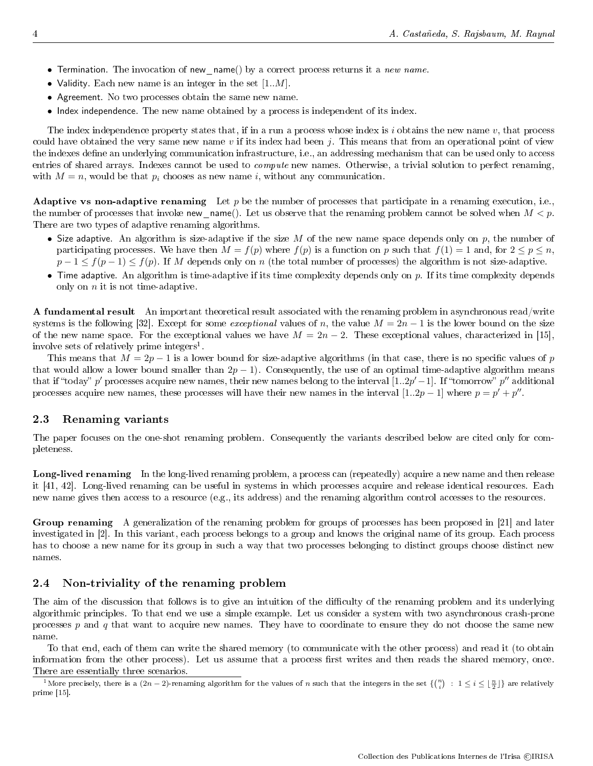- Termination. The invocation of new name() by a correct process returns it a new name.
- Validity. Each new name is an integer in the set  $[1..M]$ .
- Agreement. No two processes obtain the same new name.
- Index independence. The new name obtained by a process is independent of its index.

The index independence property states that, if in a run a process whose index is  $i$  obtains the new name  $v$ , that process could have obtained the very same new name  $v$  if its index had been  $j$ . This means that from an operational point of view the indexes define an underlying communication infrastructure, i.e., an addressing mechanism that can be used only to access entries of shared arrays. Indexes cannot be used to *compute* new names. Otherwise, a trivial solution to perfect renaming, with  $M = n$ , would be that  $p_i$  chooses as new name i, without any communication.

Adaptive vs non-adaptive renaming Let  $p$  be the number of processes that participate in a renaming execution, i.e., the number of processes that invoke new name(). Let us observe that the renaming problem cannot be solved when  $M < p$ . There are two types of adaptive renaming algorithms.

- Size adaptive. An algorithm is size-adaptive if the size  $M$  of the new name space depends only on  $p$ , the number of participating processes. We have then  $M = f(p)$  where  $f(p)$  is a function on p such that  $f(1) = 1$  and, for  $2 \le p \le n$ ,  $p-1 \le f(p-1) \le f(p)$ . If M depends only on n (the total number of processes) the algorithm is not size-adaptive.
- $\bullet$  Time adaptive. An algorithm is time-adaptive if its time complexity depends only on p. If its time complexity depends only on  $n$  it is not time-adaptive.

A fundamental result An important theoretical result associated with the renaming problem in asynchronous read/write systems is the following [32]. Except for some exceptional values of n, the value  $M = 2n - 1$  is the lower bound on the size of the new name space. For the exceptional values we have  $M = 2n - 2$ . These exceptional values, characterized in [15], involve sets of relatively prime integers<sup>1</sup>.

This means that  $M = 2p - 1$  is a lower bound for size-adaptive algorithms (in that case, there is no specific values of p that would allow a lower bound smaller than  $2p - 1$ . Consequently, the use of an optimal time-adaptive algorithm means that if "today"  $p'$  processes acquire new names, their new names belong to the interval  $[1..2p'-1]$ . If "tomorrow"  $p''$  additional processes acquire new names, these processes will have their new names in the interval  $[1..2p-1]$  where  $p = p' + p''$ .

#### 2.3 Renaming variants

The paper focuses on the one-shot renaming problem. Consequently the variants described below are cited only for completeness.

Long-lived renaming In the long-lived renaming problem, a process can (repeatedly) acquire a new name and then release it [41, 42]. Long-lived renaming can be useful in systems in which processes acquire and release identical resources. Each new name gives then access to a resource (e.g., its address) and the renaming algorithm control accesses to the resources.

Group renaming A generalization of the renaming problem for groups of processes has been proposed in [21] and later investigated in [2]. In this variant, each process belongs to a group and knows the original name of its group. Each process has to choose a new name for its group in such a way that two processes belonging to distinct groups choose distinct new names.

#### 2.4 Non-triviality of the renaming problem

The aim of the discussion that follows is to give an intuition of the difficulty of the renaming problem and its underlying algorithmic principles. To that end we use a simple example. Let us consider a system with two asynchronous crash-prone processes p and q that want to acquire new names. They have to coordinate to ensure they do not choose the same new name.

To that end, each of them can write the shared memory (to communicate with the other process) and read it (to obtain information from the other process). Let us assume that a process first writes and then reads the shared memory, once. There are essentially three scenarios.

<sup>&</sup>lt;sup>1</sup>More precisely, there is a  $(2n-2)$ -renaming algorithm for the values of n such that the integers in the set  $\{ {n \choose i} : 1 \le i \le \lfloor \frac{n}{2} \rfloor \}$  are relatively prime [15].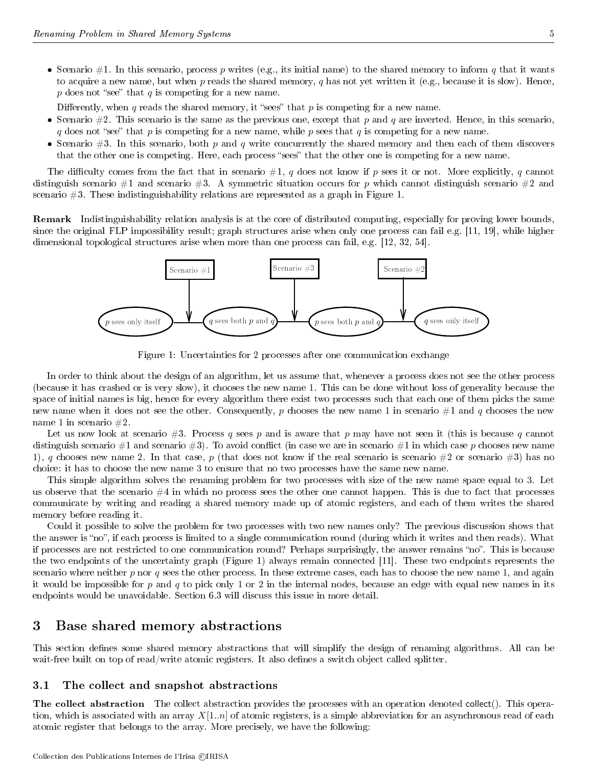• Scenario  $\#1$ . In this scenario, process p writes (e.g., its initial name) to the shared memory to inform q that it wants to acquire a new name, but when p reads the shared memory, q has not yet written it (e.g., because it is slow). Hence,  $p$  does not "see" that  $q$  is competing for a new name.

Differently, when  $q$  reads the shared memory, it "sees" that  $p$  is competing for a new name.

- Scenario #2. This scenario is the same as the previous one, except that p and q are inverted. Hence, in this scenario, q does not "see" that p is competing for a new name, while p sees that q is competing for a new name.
- Scenario  $\#3$ . In this scenario, both p and q write concurrently the shared memory and then each of them discovers that the other one is competing. Here, each process "sees" that the other one is competing for a new name.

The difficulty comes from the fact that in scenario  $\#1$ , q does not know if p sees it or not. More explicitly, q cannot distinguish scenario #1 and scenario #3. A symmetric situation occurs for p which cannot distinguish scenario #2 and scenario #3. These indistinguishability relations are represented as a graph in Figure 1.

Remark Indistinguishability relation analysis is at the core of distributed computing, especially for proving lower bounds, since the original FLP impossibility result; graph structures arise when only one process can fail e.g. [11, 19], while higher dimensional topological structures arise when more than one process can fail, e.g. [12, 32, 54].



Figure 1: Uncertainties for 2 processes after one communication exchange

In order to think about the design of an algorithm, let us assume that, whenever a process does not see the other process (because it has crashed or is very slow), it chooses the new name 1. This can be done without loss of generality because the space of initial names is big, hence for every algorithm there exist two processes such that each one of them picks the same new name when it does not see the other. Consequently, p chooses the new name 1 in scenario  $\#1$  and q chooses the new name 1 in scenario  $#2$ .

Let us now look at scenario  $\#3$ . Process q sees p and is aware that p may have not seen it (this is because q cannot distinguish scenario  $\#1$  and scenario  $\#3$ ). To avoid conflict (in case we are in scenario  $\#1$  in which case p chooses new name 1), q chooses new name 2. In that case, p (that does not know if the real scenario is scenario  $\#2$  or scenario  $\#3$ ) has no choice: it has to choose the new name 3 to ensure that no two processes have the same new name.

This simple algorithm solves the renaming problem for two processes with size of the new name space equal to 3. Let us observe that the scenario  $#4$  in which no process sees the other one cannot happen. This is due to fact that processes communicate by writing and reading a shared memory made up of atomic registers, and each of them writes the shared memory before reading it.

Could it possible to solve the problem for two processes with two new names only? The previous discussion shows that the answer is "no", if each process is limited to a single communication round (during which it writes and then reads). What if processes are not restricted to one communication round? Perhaps surprisingly, the answer remains "no". This is because the two endpoints of the uncertainty graph (Figure 1) always remain connected [11]. These two endpoints represents the scenario where neither  $p$  nor  $q$  sees the other process. In these extreme cases, each has to choose the new name 1, and again it would be impossible for  $p$  and  $q$  to pick only 1 or 2 in the internal nodes, because an edge with equal new names in its endpoints would be unavoidable. Section 6.3 will discuss this issue in more detail.

#### 3 Base shared memory abstractions

This section defines some shared memory abstractions that will simplify the design of renaming algorithms. All can be wait-free built on top of read/write atomic registers. It also defines a switch object called splitter.

#### 3.1 The collect and snapshot abstractions

The collect abstraction The collect abstraction provides the processes with an operation denoted collect(). This operation, which is associated with an array  $X[1..n]$  of atomic registers, is a simple abbreviation for an asynchronous read of each atomic register that belongs to the array. More precisely, we have the following: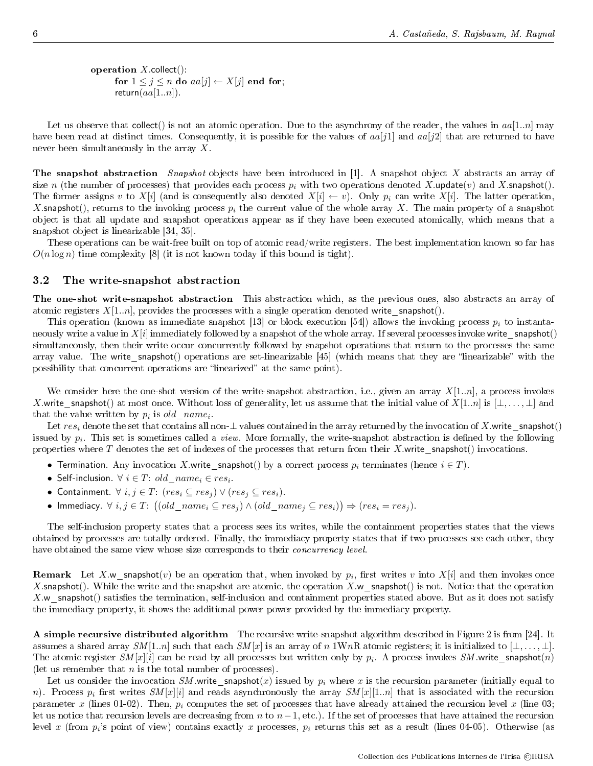operation X.collect(): for  $1 \leq j \leq n$  do  $aa[j] \leftarrow X[j]$  end for; return $(aa[1..n])$ .

Let us observe that collect() is not an atomic operation. Due to the asynchrony of the reader, the values in  $aa[1..n]$  may have been read at distinct times. Consequently, it is possible for the values of  $aa[j1]$  and  $aa[j2]$  that are returned to have never been simultaneously in the array X.

**The snapshot abstraction** Snapshot objects have been introduced in [1]. A snapshot object X abstracts an array of size n (the number of processes) that provides each process  $p_i$  with two operations denoted X.update(v) and X.snapshot(). The former assigns v to  $X[i]$  (and is consequently also denoted  $X[i] \leftarrow v$ ). Only  $p_i$  can write  $X[i]$ . The latter operation, X.snapshot(), returns to the invoking process  $p_i$  the current value of the whole array X. The main property of a snapshot object is that all update and snapshot operations appear as if they have been executed atomically, which means that a snapshot object is linearizable [34, 35].

These operations can be wait-free built on top of atomic read/write registers. The best implementation known so far has  $O(n \log n)$  time complexity [8] (it is not known today if this bound is tight).

#### 3.2 The write-snapshot abstraction

The one-shot write-snapshot abstraction This abstraction which, as the previous ones, also abstracts an array of atomic registers  $X[1..n]$ , provides the processes with a single operation denoted write snapshot().

This operation (known as immediate snapshot [13] or block execution [54]) allows the invoking process  $p_i$  to instantaneously write a value in  $X[i]$  immediately followed by a snapshot of the whole array. If several processes invoke write snapshot() simultaneously, then their write occur concurrently followed by snapshot operations that return to the processes the same array value. The write snapshot() operations are set-linearizable  $[45]$  (which means that they are "linearizable" with the possibility that concurrent operations are "linearized" at the same point).

We consider here the one-shot version of the write-snapshot abstraction, i.e., given an array  $X[1..n]$ , a process invokes X.write snapshot() at most once. Without loss of generality, let us assume that the initial value of  $X[1..n]$  is  $[\bot, \ldots, \bot]$  and that the value written by  $p_i$  is  $old\_name_i$ .

Let res<sub>i</sub> denote the set that contains all non- $\perp$  values contained in the array returned by the invocation of X.write snapshot() issued by  $p_i$ . This set is sometimes called a *view*. More formally, the write-snapshot abstraction is defined by the following properties where T denotes the set of indexes of the processes that return from their X.write snapshot() invocations.

- Termination. Any invocation X.write snapshot() by a correct process  $p_i$  terminates (hence  $i \in T$ ).
- Self-inclusion.  $\forall i \in T$ :  $old\_name_i \in res_i$ .
- Containment.  $\forall i, j \in T$ .  $(res_i \subseteq res_j) \vee (res_j \subseteq res_i)$ .
- Immediacy.  $\forall i, j \in T: ((old\_name_i \subseteq res_j) \land (old\_name_j \subseteq res_i)) \Rightarrow (res_i = res_j).$

The self-inclusion property states that a process sees its writes, while the containment properties states that the views obtained by processes are totally ordered. Finally, the immediacy property states that if two processes see each other, they have obtained the same view whose size corresponds to their concurrency level.

 ${\bf Remark}$   $\;$  Let  $X.$ w $\;$  snapshot $(v)$  be an operation that, when invoked by  $p_i,$  first writes  $v$  into  $X[i]$  and then invokes once X.snapshot(). While the write and the snapshot are atomic, the operation X.w snapshot() is not. Notice that the operation  $X$ .w snapshot() satisfies the termination, self-inclusion and containment properties stated above. But as it does not satisfy the immediacy property, it shows the additional power power provided by the immediacy property.

A simple recursive distributed algorithm The recursive write-snapshot algorithm described in Figure 2 is from [24]. It assumes a shared array  $SM[1..n]$  such that each  $SM[x]$  is an array of n 1WnR atomic registers; it is initialized to  $[\bot, \ldots, \bot]$ . The atomic register  $SM[x][i]$  can be read by all processes but written only by  $p_i$ . A process invokes  $SM$  write\_snapshot $(n)$ (let us remember that  $n$  is the total number of processes).

Let us consider the invocation SM write snapshot(x) issued by  $p_i$  where x is the recursion parameter (initially equal to n). Process  $p_i$  first writes  $SM[x][i]$  and reads asynchronously the array  $SM[x][1..n]$  that is associated with the recursion parameter x (lines 01-02). Then,  $p_i$  computes the set of processes that have already attained the recursion level x (line 03; let us notice that recursion levels are decreasing from  $n \times n-1$ , etc.). If the set of processes that have attained the recursion level  $x$  (from  $p_i$ 's point of view) contains exactly  $x$  processes,  $p_i$  returns this set as a result (lines 04-05). Otherwise (as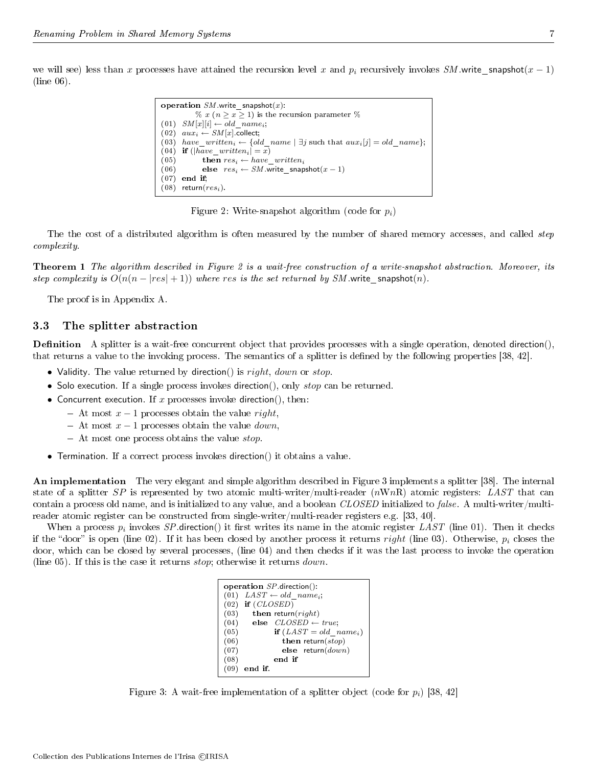we will see) less than x processes have attained the recursion level x and  $p_i$  recursively invokes SM write snapshot $(x - 1)$ (line 06).

| operation $SM$ write snapshot $(x)$ : |                                                                                          |  |
|---------------------------------------|------------------------------------------------------------------------------------------|--|
|                                       | $\% x (n \geq x \geq 1)$ is the recursion parameter $\%$                                 |  |
|                                       | $(01)$ $SM[x][i] \leftarrow old$ name <sub>i</sub> ;                                     |  |
|                                       | $(02)$ $aux_i \leftarrow SM[x]$ .collect:                                                |  |
|                                       | (03) have written, $\leftarrow$ {old name $ \exists j$ such that $aux_i[j] = old$ name}; |  |
|                                       | (04) if ( $ have\ written_i  = x$ )                                                      |  |
| (05)                                  | <b>then</b> $res_i \leftarrow have \ written_i$                                          |  |
| (06)                                  | else $res_i \leftarrow SM$ write snapshot $(x-1)$                                        |  |
| (07)                                  | end if:                                                                                  |  |
|                                       | $(08)$ return $(res_i)$ .                                                                |  |

Figure 2: Write-snapshot algorithm (code for  $p_i$ )

The the cost of a distributed algorithm is often measured by the number of shared memory accesses, and called step complexity.

Theorem 1 The algorithm described in Figure 2 is a wait-free construction of a write-snapshot abstraction. Moreover, its step complexity is  $O(n(n - |res| + 1))$  where res is the set returned by SM write snapshot(n).

The proof is in Appendix A.

#### 3.3 The splitter abstraction

**Definition** A splitter is a wait-free concurrent object that provides processes with a single operation, denoted direction(), that returns a value to the invoking process. The semantics of a splitter is dened by the following properties [38, 42].

- Validity. The value returned by direction() is  $right, down$  or  $stop$ .
- Solo execution. If a single process invokes direction(), only stop can be returned.
- Concurrent execution. If x processes invoke direction(), then:
	- $-$  At most  $x 1$  processes obtain the value right,
	- $-$  At most  $x 1$  processes obtain the value *down*,
	- $-$  At most one process obtains the value *stop*.
- Termination. If a correct process invokes direction() it obtains a value.

An implementation The very elegant and simple algorithm described in Figure 3 implements a splitter [38]. The internal state of a splitter  $SP$  is represented by two atomic multi-writer/multi-reader  $(nWnR)$  atomic registers: LAST that can contain a process old name, and is initialized to any value, and a boolean CLOSED initialized to false. A multi-writer/multireader atomic register can be constructed from single-writer/multi-reader registers e.g. [33, 40].

When a process  $p_i$  invokes SP.direction() it first writes its name in the atomic register LAST (line 01). Then it checks if the "door" is open (line 02). If it has been closed by another process it returns *right* (line 03). Otherwise,  $p_i$  closes the door, which can be closed by several processes, (line 04) and then checks if it was the last process to invoke the operation (line  $(05)$ ). If this is the case it returns *stop*; otherwise it returns *down*.

| operation $SP$ direction(): |                                |  |  |
|-----------------------------|--------------------------------|--|--|
| (01)                        | $LAST \leftarrow oldname_i;$   |  |  |
| (02)                        | if (CLOSED)                    |  |  |
| (03)                        | then return( $right)$ )        |  |  |
| (04)                        | else $CLOSED \leftarrow true$  |  |  |
| (05)                        | <b>if</b> $(LAST = oldname_i)$ |  |  |
| (06)                        | then return(stop)              |  |  |
| (07)                        | else return $(down)$           |  |  |
| (08)                        | end if                         |  |  |
| (09)                        | end if.                        |  |  |

Figure 3: A wait-free implementation of a splitter object (code for  $p_i$ ) [38, 42]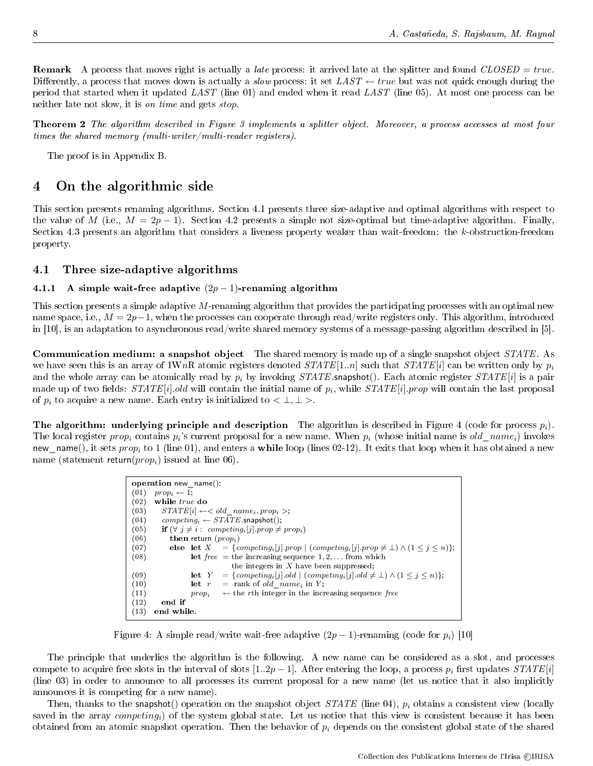**Remark** A process that moves right is actually a *late* process: it arrived late at the splitter and found  $CLOSED = true$ . Differently, a process that moves down is actually a *slow* process: it set  $LST \leftarrow true$  but was not quick enough during the period that started when it updated LAST (line 01) and ended when it read LAST (line 05). At most one process can be neither late not slow, it is on time and gets stop.

Theorem 2 The algorithm described in Figure 3 implements a splitter object. Moreover, a process accesses at most four times the shared memory (multi-writer/multi-reader registers).

The proof is in Appendix B.

## 4 On the algorithmic side

This section presents renaming algorithms. Section 4.1 presents three size-adaptive and optimal algorithms with respect to the value of M (i.e.,  $M = 2p - 1$ ). Section 4.2 presents a simple not size-optimal but time-adaptive algorithm. Finally, Section 4.3 presents an algorithm that considers a liveness property weaker than wait-freedom: the k-obstruction-freedom property.

#### 4.1 Three size-adaptive algorithms

#### 4.1.1 A simple wait-free adaptive  $(2p-1)$ -renaming algorithm

This section presents a simple adaptive M-renaming algorithm that provides the participating processes with an optimal new name space, i.e.,  $M = 2p-1$ , when the processes can cooperate through read/write registers only. This algorithm, introduced in [10], is an adaptation to asynchronous read/write shared memory systems of a message-passing algorithm described in [5].

**Communication medium: a snapshot object** The shared memory is made up of a single snapshot object *STATE*. As we have seen this is an array of  $1WnR$  atomic registers denoted  $STATE[1..n]$  such that  $STATE[i]$  can be written only by  $p_i$ and the whole array can be atomically read by  $p_i$  by invoking  $STATE$ . Snapshot(). Each atomic register  $STATE[i]$  is a pair made up of two fields:  $STATE[i].old$  will contain the initial name of  $p_i,$  while  $STATE[i].prop$  will contain the last proposal of  $p_i$  to acquire a new name. Each entry is initialized to  $\lt \perp, \perp \gt.$ 

The algorithm: underlying principle and description The algorithm is described in Figure 4 (code for process  $p_i$ ). The local register  $prop_i$  contains  $p_i$ 's current proposal for a new name. When  $p_i$  (whose initial name is  $old\_name_i)$  invokes new name(), it sets prop<sub>i</sub> to 1 (line 01), and enters a while loop (lines 02-12). It exits that loop when it has obtained a new name (statement return $(prop<sub>i</sub>)$ ) issued at line 06).

| operation new $name()$ :                                                                                     |  |  |
|--------------------------------------------------------------------------------------------------------------|--|--|
| $prop_i \leftarrow 1$ :<br>(01)                                                                              |  |  |
| (02)<br>while <i>true</i> do                                                                                 |  |  |
| (03)<br>$STATE[i] \leftarrow < oldsymbol{old} \ name_i, prop_i >;$                                           |  |  |
| (04)<br>$\mathit{competing}_i \leftarrow \mathit{STATE}.\mathsf{snapshot}$ .                                 |  |  |
| if $(\forall j \neq i: \text{ competing}_i[j].prop \neq prop_i)$<br>(05)                                     |  |  |
| (06)<br>then return $(propi)$                                                                                |  |  |
| (07)<br>else let $X = \{competing_i[j].prop \mid (competing_i[j].prop \neq \bot) \land (1 \leq j \leq n)\}\$ |  |  |
| let $free =$ the increasing sequence 1, 2,  from which<br>(08)                                               |  |  |
| the integers in $X$ have been suppressed;                                                                    |  |  |
| <b>let</b> $Y = \{competing_i[j].old \mid (competing_i[j].old \neq \bot) \land (1 \leq j \leq n)\}.$<br>(09) |  |  |
| (10)<br><b>let</b> $r = \text{rank of } old \text{ name}_i \text{ in } Y$ ;                                  |  |  |
| (11)<br>$prop_i \leftarrow$ the rth integer in the increasing sequence free                                  |  |  |
| (12)<br>end if                                                                                               |  |  |
| (13)<br>end while.                                                                                           |  |  |

Figure 4: A simple read/write wait-free adaptive  $(2p - 1)$ -renaming (code for  $p_i$ ) [10]

The principle that underlies the algorithm is the following. A new name can be considered as a slot, and processes compete to acquire free slots in the interval of slots  $[1..2p-1]$ . After entering the loop, a process  $p_i$  first updates  $STATE[i]$ (line 03) in order to announce to all processes its current proposal for a new name (let us notice that it also implicitly announces it is competing for a new name).

Then, thanks to the snapshot() operation on the snapshot object  $STATE$  (line 04),  $p_i$  obtains a consistent view (locally saved in the array *competing<sub>i</sub>*) of the system global state. Let us notice that this view is consistent because it has been obtained from an atomic snapshot operation. Then the behavior of  $p_i$  depends on the consistent global state of the shared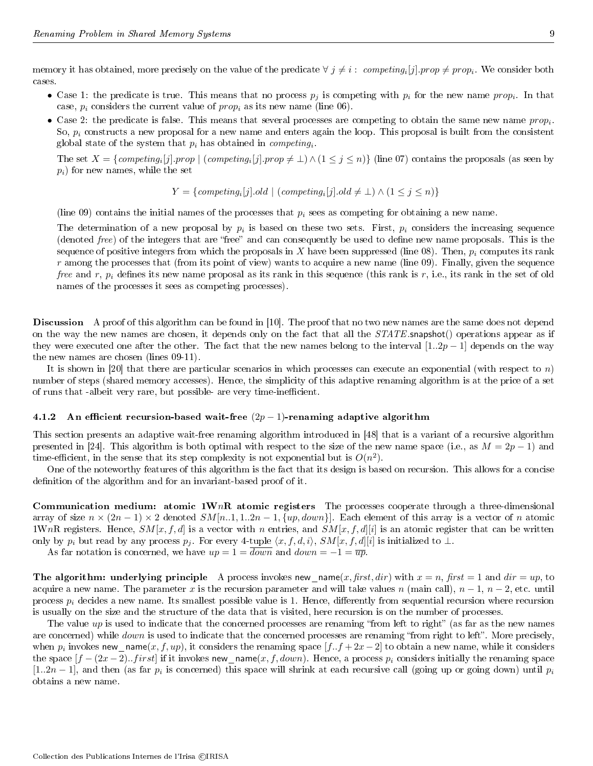memory it has obtained, more precisely on the value of the predicate  $\forall~j\neq i:~competing_i[j].prop\neq prop_i.$  We consider both cases.

- Case 1: the predicate is true. This means that no process  $p_j$  is competing with  $p_i$  for the new name prop<sub>i</sub>. In that case,  $p_i$  considers the current value of  $prop_i$  as its new name (line 06).
- Case 2: the predicate is false. This means that several processes are competing to obtain the same new name  $prop_i$ . So,  $p_i$  constructs a new proposal for a new name and enters again the loop. This proposal is built from the consistent global state of the system that  $p_i$  has obtained in *competing<sub>i</sub>*.

The set  $X = \{competing_i[j].prop \mid (competing_i[j].prop \neq \bot) \land (1 \leq j \leq n)\}$  (line 07) contains the proposals (as seen by  $p_i$ ) for new names, while the set

$$
Y = \{ competing_i[j].old \mid (competing_i[j].old \neq \bot) \land (1 \leq j \leq n) \}
$$

(line 09) contains the initial names of the processes that  $p_i$  sees as competing for obtaining a new name.

The determination of a new proposal by  $p_i$  is based on these two sets. First,  $p_i$  considers the increasing sequence (denoted free) of the integers that are "free" and can consequently be used to define new name proposals. This is the sequence of positive integers from which the proposals in X have been suppressed (line 08). Then,  $p_i$  computes its rank  $r$  among the processes that (from its point of view) wants to acquire a new name (line 09). Finally, given the sequence *free* and r,  $p_i$  defines its new name proposal as its rank in this sequence (this rank is r, i.e., its rank in the set of old names of the processes it sees as competing processes).

Discussion A proof of this algorithm can be found in [10]. The proof that no two new names are the same does not depend on the way the new names are chosen, it depends only on the fact that all the  $STATE$ . snapshot() operations appear as if they were executed one after the other. The fact that the new names belong to the interval  $[1..2p-1]$  depends on the way the new names are chosen (lines 09-11).

It is shown in [20] that there are particular scenarios in which processes can execute an exponential (with respect to  $n$ ) number of steps (shared memory accesses). Hence, the simplicity of this adaptive renaming algorithm is at the price of a set of runs that -albeit very rare, but possible- are very time-inefficient.

#### 4.1.2 An efficient recursion-based wait-free  $(2p - 1)$ -renaming adaptive algorithm

This section presents an adaptive wait-free renaming algorithm introduced in [48] that is a variant of a recursive algorithm presented in [24]. This algorithm is both optimal with respect to the size of the new name space (i.e., as  $M = 2p - 1$ ) and time-efficient, in the sense that its step complexity is not exponential but is  $O(n^2)$ .

One of the noteworthy features of this algorithm is the fact that its design is based on recursion. This allows for a concise definition of the algorithm and for an invariant-based proof of it.

**Communication medium:** atomic  $1WnR$  atomic registers The processes cooperate through a three-dimensional array of size  $n \times (2n-1) \times 2$  denoted  $SM[n..1, 1..2n-1, \{up, down\}]$ . Each element of this array is a vector of n atomic 1WnR registers. Hence,  $SM[x, f, d]$  is a vector with n entries, and  $SM[x, f, d][i]$  is an atomic register that can be written only by  $p_i$  but read by any process  $p_j$ . For every 4-tuple  $\langle x, f, d, i \rangle$ ,  $SM[x, f, d][i]$  is initialized to ⊥.

As far notation is concerned, we have  $up = 1 = \overline{down}$  and  $down = -1 = \overline{up}$ .

The algorithm: underlying principle A process invokes new name $(x, first, dir)$  with  $x = n$ , first  $= 1$  and dir  $= up$ , to acquire a new name. The parameter x is the recursion parameter and will take values n (main call),  $n-1$ ,  $n-2$ , etc. until process  $p_i$  decides a new name. Its smallest possible value is 1. Hence, differently from sequential recursion where recursion is usually on the size and the structure of the data that is visited, here recursion is on the number of processes.

The value  $up$  is used to indicate that the concerned processes are renaming "from left to right" (as far as the new names are concerned) while *down* is used to indicate that the concerned processes are renaming "from right to left". More precisely, when  $p_i$  invokes new\_name $(x, f, up)$ , it considers the renaming space  $[f..f+2x-2]$  to obtain a new name, while it considers the space  $[f - (2x - 2) \cdot first]$  if it invokes new\_name $(x, f, down)$ . Hence, a process  $p_i$  considers initially the renaming space  $[1..2n-1]$ , and then (as far  $p_i$  is concerned) this space will shrink at each recursive call (going up or going down) until  $p_i$ obtains a new name.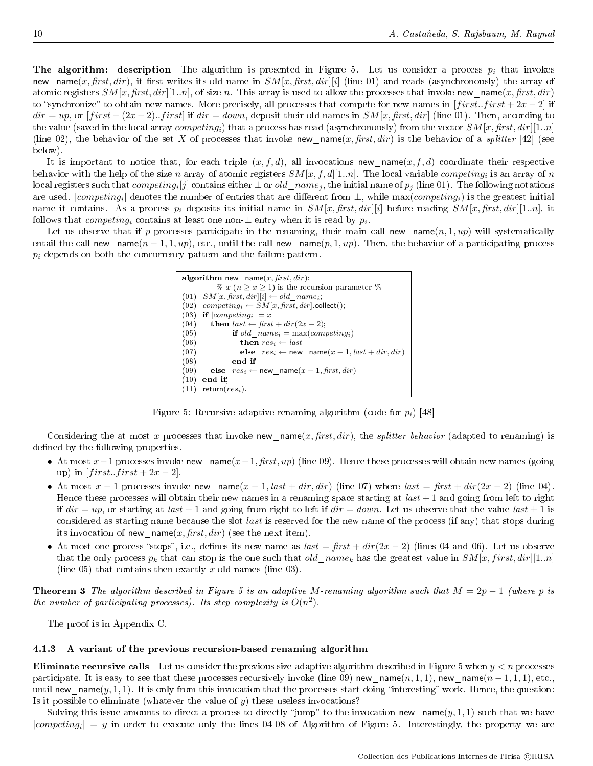**The algorithm:** description The algorithm is presented in Figure 5. Let us consider a process  $p_i$  that invokes new name $(x, first, dir)$ , it first writes its old name in  $SM[x, first, dir][i]$  (line 01) and reads (asynchronously) the array of atomic registers  $SM[x, first, dir][1..n]$ , of size n. This array is used to allow the processes that invoke new name $(x, first, dir)$ to "synchronize" to obtain new names. More precisely, all processes that compete for new names in  $[first..first + 2x - 2]$  if  $dir = up$ , or  $[first - (2x - 2) \cdot first]$  if  $dir = down$ , deposit their old names in  $SM[x, first, dir]$  (line 01). Then, according to the value (saved in the local array *competing<sub>i</sub>*) that a process has read (asynchronously) from the vector  $SM[x, first, dir][1..n]$ (line 02), the behavior of the set X of processes that invoke new name $(x, first, dir)$  is the behavior of a splitter [42] (see below).

It is important to notice that, for each triple  $(x, f, d)$ , all invocations new name $(x, f, d)$  coordinate their respective behavior with the help of the size  $n$  array of atomic registers  $SM[x,f,d][1..n]$ . The local variable  $competing_i$  is an array of  $n$ local registers such that  $competing_i[j]$  contains either  $\bot$  or  $old\_name_j$ , the initial name of  $p_j$  (line 01). The following notations are used.  $|competing_i|$  denotes the number of entries that are different from  $\bot$ , while  $\max(competing_i)$  is the greatest initial name it contains. As a process  $p_i$  deposits its initial name in  $SM[x, first, dir][i]$  before reading  $SM[x, first, dir][1..n]$ , it follows that *competing*<sub>i</sub> contains at least one non- $\perp$  entry when it is read by  $p_i$ .

Let us observe that if p processes participate in the renaming, their main call new name $(n, 1, up)$  will systematically entail the call new name $(n - 1, 1, up)$ , etc., until the call new name $(p, 1, up)$ . Then, the behavior of a participating process  $p_i$  depends on both the concurrency pattern and the failure pattern.



Figure 5: Recursive adaptive renaming algorithm (code for  $p_i$ ) [48]

Considering the at most x processes that invoke new name(x, first, dir), the splitter behavior (adapted to renaming) is defined by the following properties.

- At most  $x-1$  processes invoke new name $(x-1, first, up)$  (line 09). Hence these processes will obtain new names (going up) in  $[first..first + 2x - 2]$ .
- At most  $x 1$  processes invoke new name $(x 1, last + \overline{dir}, \overline{dir})$  (line 07) where last = first + dir(2x − 2) (line 04). Hence these processes will obtain their new names in a renaming space starting at  $last + 1$  and going from left to right if  $\overline{dir} = up$ , or starting at  $last - 1$  and going from right to left if  $\overline{dir} = down$ . Let us observe that the value last  $\pm 1$  is considered as starting name because the slot *last* is reserved for the new name of the process (if any) that stops during its invocation of new name $(x, first, dir)$  (see the next item).
- At most one process "stops", i.e., defines its new name as  $last = first + dir(2x 2)$  (lines 04 and 06). Let us observe that the only process  $p_k$  that can stop is the one such that old name<sub>k</sub> has the greatest value in  $SM[x, first, dir][1..n]$ (line 05) that contains then exactly  $x$  old names (line 03).

**Theorem 3** The algorithm described in Figure 5 is an adaptive M-renaming algorithm such that  $M = 2p - 1$  (where p is the number of participating processes). Its step complexity is  $O(n^2)$ .

The proof is in Appendix C.

#### 4.1.3 A variant of the previous recursion-based renaming algorithm

**Eliminate recursive calls** Let us consider the previous size-adaptive algorithm described in Figure 5 when  $y < n$  processes participate. It is easy to see that these processes recursively invoke (line 09) new name $(n, 1, 1)$ , new name $(n - 1, 1, 1)$ , etc., until new\_name $(y, 1, 1)$ . It is only from this invocation that the processes start doing "interesting" work. Hence, the question: Is it possible to eliminate (whatever the value of  $y$ ) these useless invocations?

Solving this issue amounts to direct a process to directly "jump" to the invocation new\_name $(y, 1, 1)$  such that we have  $|competing_i| = y$  in order to execute only the lines 04-08 of Algorithm of Figure 5. Interestingly, the property we are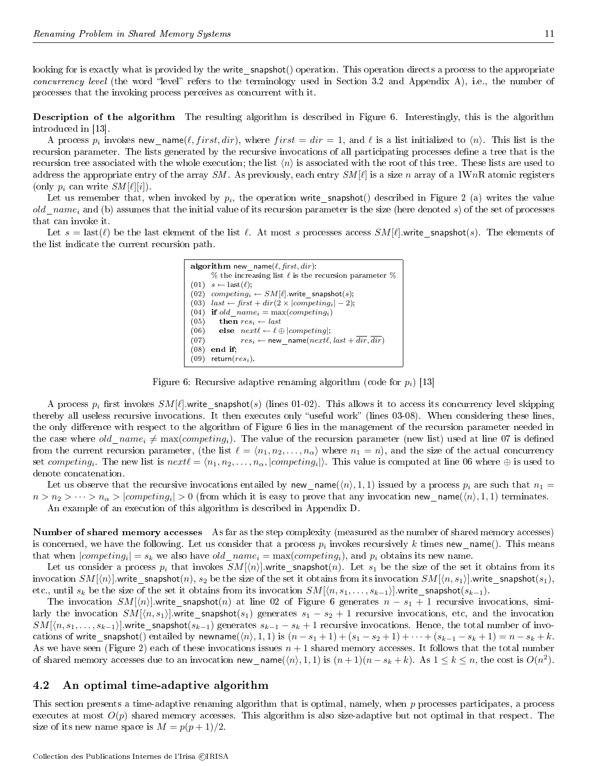looking for is exactly what is provided by the write snapshot() operation. This operation directs a process to the appropriate concurrency level (the word "level" refers to the terminology used in Section 3.2 and Appendix A), i.e., the number of processes that the invoking process perceives as concurrent with it.

Description of the algorithm The resulting algorithm is described in Figure 6. Interestingly, this is the algorithm introduced in [13].

A process  $p_i$  invokes new\_name $(\ell, first, dir),$  where  $first=dir=1,$  and  $\ell$  is a list initialized to  $\langle n \rangle$ . This list is the recursion parameter. The lists generated by the recursive invocations of all participating processes dene a tree that is the recursion tree associated with the whole execution; the list  $\langle n \rangle$  is associated with the root of this tree. These lists are used to address the appropriate entry of the array SM. As previously, each entry  $SM[\ell]$  is a size n array of a 1WnR atomic registers (only  $p_i$  can write  $SM[\ell][i]$ ).

Let us remember that, when invoked by  $p_i$ , the operation write\_snapshot() described in Figure 2 (a) writes the value old name<sub>i</sub> and (b) assumes that the initial value of its recursion parameter is the size (here denoted s) of the set of processes that can invoke it.

Let  $s = \text{last}(\ell)$  be the last element of the list  $\ell$ . At most s processes access  $SM[\ell]$ .write snapshot(s). The elements of the list indicate the current recursion path.

| algorithm new name( $\ell$ , first, dir).                           |  |  |
|---------------------------------------------------------------------|--|--|
| $\%$ the increasing list $\ell$ is the recursion parameter $\%$     |  |  |
| $(01)$ $s \leftarrow$ last $(\ell)$ :                               |  |  |
| (02) competing $\leftarrow SM[\ell]$ write snapshot(s);             |  |  |
| $last \leftarrow first + dir(2 \times   competing_i  - 2);$<br>(03) |  |  |
| if old $name_i = max(competing_i)$<br>(04)                          |  |  |
| $(05)$ then $res_i \leftarrow last$                                 |  |  |
| (06) else $next\ell \leftarrow \ell \oplus  competing $ :           |  |  |
| (07)<br>$res_i \leftarrow$ new name( $nextl, last + dir, dir$ )     |  |  |
| (08)<br>end if:                                                     |  |  |
| $(09)$ return $(resi)$ .                                            |  |  |

Figure 6: Recursive adaptive renaming algorithm (code for  $p_i$ ) [13]

A process  $p_i$  first invokes  $SM[\ell]$ .write snapshot(s) (lines 01-02). This allows it to access its concurrency level skipping thereby all useless recursive invocations. It then executes only "useful work" (lines 03-08). When considering these lines, the only difference with respect to the algorithm of Figure 6 lies in the management of the recursion parameter needed in the case where old name<sub>i</sub>  $\neq$  max(competing<sub>i</sub>). The value of the recursion parameter (new list) used at line 07 is defined from the current recursion parameter, (the list  $\ell = \langle n_1, n_2, \ldots, n_\alpha \rangle$  where  $n_1 = n$ ), and the size of the actual concurrency set  $competing_i$ . The new list is  $next\ell = \langle n_1, n_2, \ldots, n_\alpha, |competing_i|\rangle$ . This value is computed at line 06 where  $\oplus$  is used to denote concatenation.

Let us observe that the recursive invocations entailed by new\_name( $\langle n\rangle$ , 1, 1) issued by a process  $p_i$  are such that  $n_1$  $n > n_2 > \cdots > n_\alpha > |competing_i| > 0$  (from which it is easy to prove that any invocation new\_name( $\langle n \rangle, 1, 1$ ) terminates. An example of an execution of this algorithm is described in Appendix D.

Number of shared memory accesses As far as the step complexity (measured as the number of shared memory accesses) is concerned, we have the following. Let us consider that a process  $p_i$  invokes recursively k times new\_name(). This means that when  $|competing_i| = s_k$  we also have  $old\_name_i = \max(competing_i)$ , and  $p_i$  obtains its new name.

Let us consider a process  $p_i$  that invokes  $SM(\langle n \rangle)$  write snapshot(n). Let  $s_1$  be the size of the set it obtains from its invocation  $SM[\langle n \rangle]$ .write snapshot $(n)$ ,  $s_2$  be the size of the set it obtains from its invocation  $SM[\langle n, s_1 \rangle]$ .write snapshot $(s_1)$ . etc., until  $s_k$  be the size of the set it obtains from its invocation  $SM[(n, s_1, \ldots, s_{k-1})]$ .write\_snapshot $(s_{k-1})$ .

The invocation  $SM[\langle n \rangle]$ .write\_snapshot $(n)$  at line 02 of Figure 6 generates  $n - s_1 + 1$  recursive invocations, similarly the invocation  $SM[\langle n, s_1 \rangle]$ .write\_snapshot( $s_1$ ) generates  $s_1 - s_2 + 1$  recursive invocations, etc, and the invocation  $SM[\langle n, s_1, \ldots, s_{k-1}\rangle]$ .write\_snapshot $(s_{k-1})$  generates  $s_{k-1} - s_k + 1$  recursive invocations. Hence, the total number of invocations of write\_snapshot() entailed by newname $(\langle n \rangle, 1, 1)$  is  $(n - s_1 + 1) + (s_1 - s_2 + 1) + \cdots + (s_{k-1} - s_k + 1) = n - s_k + k$ . As we have seen (Figure 2) each of these invocations issues  $n + 1$  shared memory accesses. It follows that the total number of shared memory accesses due to an invocation new\_name $(\langle n \rangle, 1, 1)$  is  $(n+1)(n - s_k + k)$ . As  $1 \leq k \leq n$ , the cost is  $O(n^2)$ .

#### 4.2 An optimal time-adaptive algorithm

This section presents a time-adaptive renaming algorithm that is optimal, namely, when p processes participates, a process executes at most  $O(p)$  shared memory accesses. This algorithm is also size-adaptive but not optimal in that respect. The size of its new name space is  $M = p(p+1)/2$ .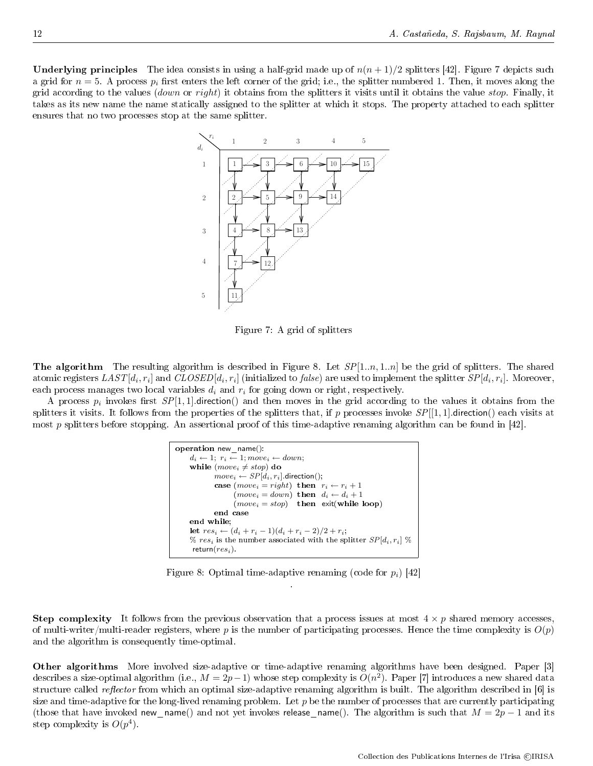**Underlying principles** The idea consists in using a half-grid made up of  $n(n + 1)/2$  splitters [42]. Figure 7 depicts such a grid for  $n = 5$ . A process  $p_i$  first enters the left corner of the grid; i.e., the splitter numbered 1. Then, it moves along the grid according to the values (*down* or *right*) it obtains from the splitters it visits until it obtains the value *stop*. Finally, it takes as its new name the name statically assigned to the splitter at which it stops. The property attached to each splitter ensures that no two processes stop at the same splitter.



Figure 7: A grid of splitters

**The algorithm** The resulting algorithm is described in Figure 8. Let  $SP[1..n, 1..n]$  be the grid of splitters. The shared atomic registers  $\emph{LAST}[d_i,r_i]$  and  $\emph{CLOSED}[d_i,r_i]$  (initialized to  $\emph{false}$ ) are used to implement the splitter  $\emph{SP}[d_i,r_i]$ . Moreover, each process manages two local variables  $d_i$  and  $r_i$  for going down or right, respectively.

A process  $p_i$  invokes first  $SP[1,1]$  direction() and then moves in the grid according to the values it obtains from the splitters it visits. It follows from the properties of the splitters that, if p processes invoke  $SP[[1, 1].$ direction() each visits at most p splitters before stopping. An assertional proof of this time-adaptive renaming algorithm can be found in [42].



Figure 8: Optimal time-adaptive renaming (code for  $p_i$ ) [42] .

**Step complexity** It follows from the previous observation that a process issues at most  $4 \times p$  shared memory accesses, of multi-writer/multi-reader registers, where p is the number of participating processes. Hence the time complexity is  $O(p)$ and the algorithm is consequently time-optimal.

Other algorithms More involved size-adaptive or time-adaptive renaming algorithms have been designed. Paper [3] describes a size-optimal algorithm (i.e.,  $M = 2p-1$ ) whose step complexity is  $O(n^2)$ . Paper [7] introduces a new shared data structure called *reflector* from which an optimal size-adaptive renaming algorithm is built. The algorithm described in  $[6]$  is size and time-adaptive for the long-lived renaming problem. Let  $p$  be the number of processes that are currently participating (those that have invoked new\_name() and not yet invokes release\_name(). The algorithm is such that  $M = 2p - 1$  and its step complexity is  $O(p^4)$ .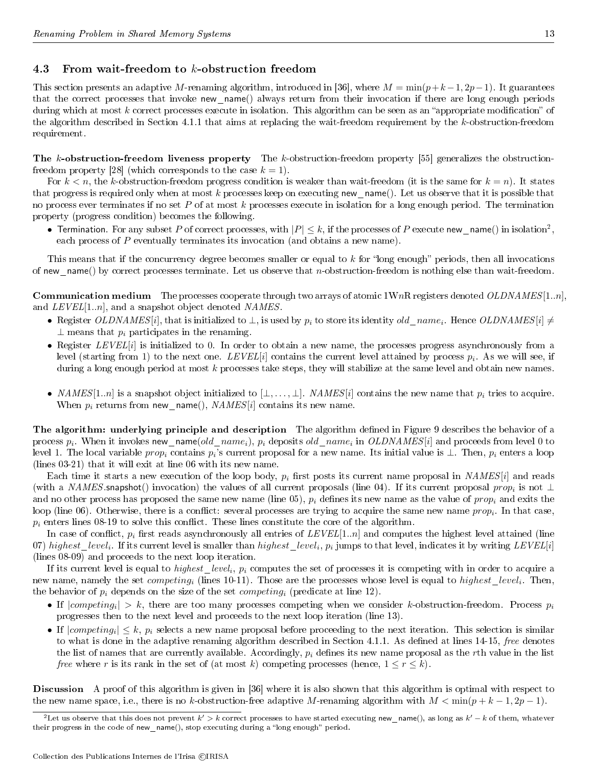#### 4.3 From wait-freedom to k-obstruction freedom

This section presents an adaptive M-renaming algorithm, introduced in [36], where  $M = \min(p+k-1, 2p-1)$ . It guarantees that the correct processes that invoke new\_name() always return from their invocation if there are long enough periods during which at most  $k$  correct processes execute in isolation. This algorithm can be seen as an "appropriate modification" of the algorithm described in Section 4.1.1 that aims at replacing the wait-freedom requirement by the k-obstruction-freedom requirement.

The k-obstruction-freedom liveness property The k-obstruction-freedom property [55] generalizes the obstructionfreedom property [28] (which corresponds to the case  $k = 1$ ).

For  $k < n$ , the k-obstruction-freedom progress condition is weaker than wait-freedom (it is the same for  $k = n$ ). It states that progress is required only when at most k processes keep on executing new name(). Let us observe that it is possible that no process ever terminates if no set  $P$  of at most  $k$  processes execute in isolation for a long enough period. The termination property (progress condition) becomes the following.

• Termination. For any subset P of correct processes, with  $|P| \le k$ , if the processes of P execute new name() in isolation<sup>2</sup>, each process of P eventually terminates its invocation (and obtains a new name).

This means that if the concurrency degree becomes smaller or equal to  $k$  for "long enough" periods, then all invocations of new name() by correct processes terminate. Let us observe that n-obstruction-freedom is nothing else than wait-freedom.

**Communication medium** The processes cooperate through two arrays of atomic  $1WnR$  registers denoted OLDNAMES[1..n], and LEVEL[1..n], and a snapshot object denoted NAMES.

- Register OLDNAMES[i], that is initialized to  $\perp$ , is used by  $p_i$  to store its identity  $old\_name_i$ . Hence OLDNAMES[i]  $\neq$  $\perp$  means that  $p_i$  participates in the renaming.
- Register  $LEVEL[i]$  is initialized to 0. In order to obtain a new name, the processes progress asynchronously from a level (starting from 1) to the next one.  $\emph{LEVEL}[i]$  contains the current level attained by process  $p_i.$  As we will see, if during a long enough period at most k processes take steps, they will stabilize at the same level and obtain new names.
- $NAMES[1..n]$  is a snapshot object initialized to  $[\bot, \ldots, \bot]$ .  $NAMES[i]$  contains the new name that  $p_i$  tries to acquire. When  $p_i$  returns from new name(),  $NAMES[i]$  contains its new name.

The algorithm: underlying principle and description The algorithm defined in Figure 9 describes the behavior of a process  $p_i$ . When it invokes new\_name( $old\_name_i)$ ,  $p_i$  deposits  $old\_name_i$  in  $OLDNAMES[i]$  and proceeds from level 0 to level 1. The local variable  $prop_i$  contains  $p_i's current proposal for a new name. Its initial value is  $\perp$ . Then,  $p_i$  enters a loop$ (lines 03-21) that it will exit at line 06 with its new name.

Each time it starts a new execution of the loop body,  $p_i$  first posts its current name proposal in  $NAMES[i]$  and reads (with a NAMES.snapshot() invocation) the values of all current proposals (line 04). If its current proposal prop<sub>i</sub> is not  $\perp$ and no other process has proposed the same new name (line 05),  $p_i$  defines its new name as the value of prop<sub>i</sub> and exits the loop (line 06). Otherwise, there is a conflict: several processes are trying to acquire the same new name  $prop_i$ . In that case,  $p_i$  enters lines 08-19 to solve this conflict. These lines constitute the core of the algorithm.

In case of conflict,  $p_i$  first reads asynchronously all entries of  $LEVEL[1..n]$  and computes the highest level attained (line 07)  $highest\_level_i$ . If its current level is smaller than  $highest\_level_i,$   $p_i$  jumps to that level, indicates it by writing  $LEVEL[i]$ (lines 08-09) and proceeds to the next loop iteration.

If its current level is equal to *highest\_level<sub>i</sub>,*  $p_i$  computes the set of processes it is competing with in order to acquire a new name, namely the set  $competing_i$  (lines 10-11). Those are the processes whose level is equal to  $highest\_level_i$ . Then, the behavior of  $p_i$  depends on the size of the set *competing*<sub>i</sub> (predicate at line 12).

- If  $|competing_i| > k$ , there are too many processes competing when we consider k-obstruction-freedom. Process  $p_i$ progresses then to the next level and proceeds to the next loop iteration (line 13).
- If  $|completing_i| \leq k$ ,  $p_i$  selects a new name proposal before proceeding to the next iteration. This selection is similar to what is done in the adaptive renaming algorithm described in Section 4.1.1. As defined at lines 14-15, free denotes the list of names that are currently available. Accordingly,  $p_i$  defines its new name proposal as the rth value in the list free where r is its rank in the set of (at most k) competing processes (hence,  $1 \le r \le k$ ).

Discussion A proof of this algorithm is given in [36] where it is also shown that this algorithm is optimal with respect to the new name space, i.e., there is no k-obstruction-free adaptive M-renaming algorithm with  $M < \min(p + k - 1, 2p - 1)$ .

<sup>&</sup>lt;sup>2</sup>Let us observe that this does not prevent  $k' > k$  correct processes to have started executing new name(), as long as  $k' - k$  of them, whatever their progress in the code of new\_name(), stop executing during a "long enough" period.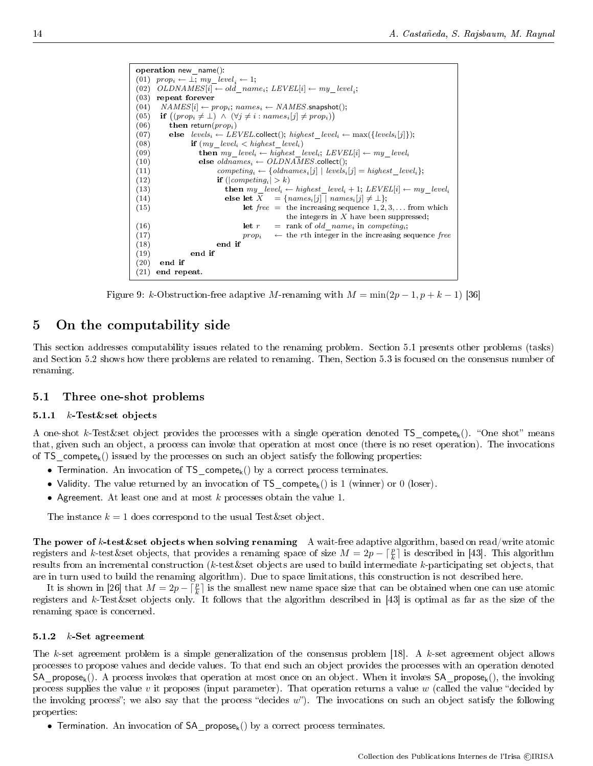

Figure 9: k-Obstruction-free adaptive M-renaming with  $M = \min(2p - 1, p + k - 1)$  [36]

### 5 On the computability side

This section addresses computability issues related to the renaming problem. Section 5.1 presents other problems (tasks) and Section 5.2 shows how there problems are related to renaming. Then, Section 5.3 is focused on the consensus number of renaming.

#### 5.1 Three one-shot problems

#### 5.1.1  $k$ -Test&set objects

A one-shot k-Test&set object provides the processes with a single operation denoted TS compete<sub>k</sub>(). "One shot" means that, given such an object, a process can invoke that operation at most once (there is no reset operation). The invocations of TS compete<sub>k</sub>() issued by the processes on such an object satisfy the following properties:

- Termination. An invocation of TS compete<sub>k</sub>() by a correct process terminates.
- Validity. The value returned by an invocation of TS compete<sub>k</sub>() is 1 (winner) or 0 (loser).
- Agreement. At least one and at most  $k$  processes obtain the value 1.

The instance  $k = 1$  does correspond to the usual Test & Set object.

The power of k-test & set objects when solving renaming A wait-free adaptive algorithm, based on read/write atomic registers and k-test&set objects, that provides a renaming space of size  $M = 2p - \lceil \frac{p}{k} \rceil$  is described in [43]. This algorithm results from an incremental construction (k-test&set objects are used to build intermediate k-participating set objects, that are in turn used to build the renaming algorithm). Due to space limitations, this construction is not described here.

It is shown in [26] that  $M = 2p - \lceil \frac{p}{k} \rceil$  is the smallest new name space size that can be obtained when one can use atomic registers and k-Test&set objects only. It follows that the algorithm described in [43] is optimal as far as the size of the renaming space is concerned.

#### 5.1.2 k-Set agreement

The k-set agreement problem is a simple generalization of the consensus problem [18]. A k-set agreement object allows processes to propose values and decide values. To that end such an object provides the processes with an operation denoted SA propose<sub>k</sub>(). A process invokes that operation at most once on an object. When it invokes SA propose<sub>k</sub>(), the invoking process supplies the value v it proposes (input parameter). That operation returns a value w (called the value "decided by the invoking process"; we also say that the process "decides  $w$ "). The invocations on such an object satisfy the following properties:

• Termination. An invocation of  $SA$  propose<sub>k</sub>() by a correct process terminates.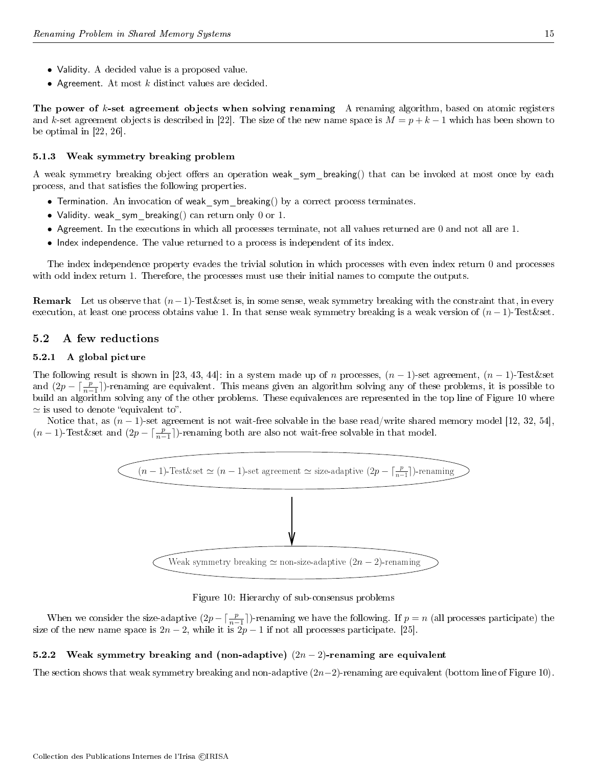- Validity. A decided value is a proposed value.
- Agreement. At most  $k$  distinct values are decided.

The power of  $k$ -set agreement objects when solving renaming A renaming algorithm, based on atomic registers and k-set agreement objects is described in [22]. The size of the new name space is  $M = p + k - 1$  which has been shown to be optimal in [22, 26].

#### 5.1.3 Weak symmetry breaking problem

A weak symmetry breaking object offers an operation weak\_sym\_breaking() that can be invoked at most once by each process, and that satisfies the following properties.

- Termination. An invocation of weak sym breaking() by a correct process terminates.
- Validity. weak sym breaking() can return only 0 or 1.
- Agreement. In the executions in which all processes terminate, not all values returned are 0 and not all are 1.
- Index independence. The value returned to a process is independent of its index.

The index independence property evades the trivial solution in which processes with even index return 0 and processes with odd index return 1. Therefore, the processes must use their initial names to compute the outputs.

**Remark** Let us observe that  $(n-1)$ -Test&set is, in some sense, weak symmetry breaking with the constraint that, in every execution, at least one process obtains value 1. In that sense weak symmetry breaking is a weak version of  $(n-1)$ -Test&set.

#### 5.2 A few reductions

#### 5.2.1 A global picture

The following result is shown in [23, 43, 44]: in a system made up of n processes,  $(n-1)$ -set agreement,  $(n-1)$ -Test & set and  $(2p - \lceil \frac{p}{n-1} \rceil)$ -renaming are equivalent. This means given an algorithm solving any of these problems, it is possible to build an algorithm solving any of the other problems. These equivalences are represented in the top line of Figure 10 where  $\simeq$  is used to denote "equivalent to".

Notice that, as  $(n-1)$ -set agreement is not wait-free solvable in the base read/write shared memory model [12, 32, 54],  $(n-1)$ -Test&set and  $(2p - \lceil \frac{p}{n-1} \rceil)$ -renaming both are also not wait-free solvable in that model.



Figure 10: Hierarchy of sub-consensus problems

When we consider the size-adaptive  $(2p - \lceil \frac{p}{n-1} \rceil)$ -renaming we have the following. If  $p = n$  (all processes participate) the size of the new name space is  $2n-2$ , while it is  $2p-1$  if not all processes participate. [25].

#### 5.2.2 Weak symmetry breaking and (non-adaptive)  $(2n-2)$ -renaming are equivalent

The section shows that weak symmetry breaking and non-adaptive  $(2n-2)$ -renaming are equivalent (bottom line of Figure 10).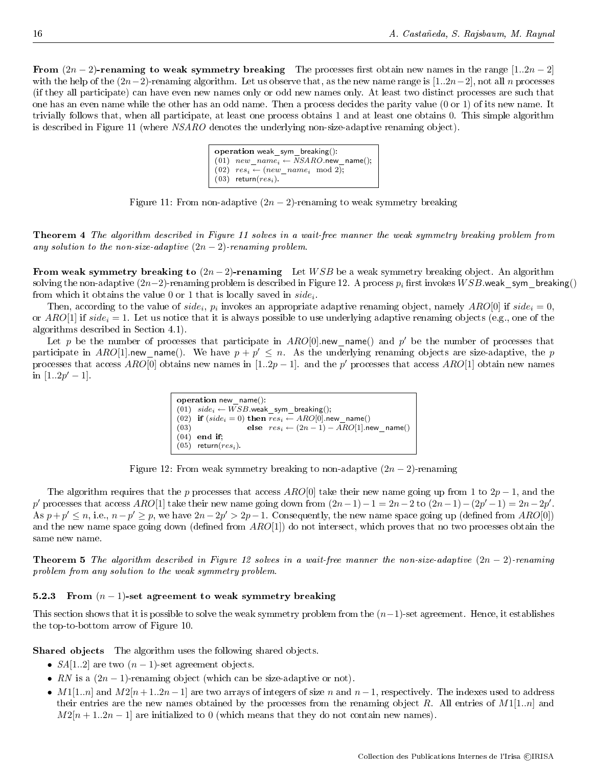From  $(2n-2)$ -renaming to weak symmetry breaking The processes first obtain new names in the range  $[1..2n-2]$ with the help of the  $(2n-2)$ -renaming algorithm. Let us observe that, as the new name range is [1..2n−2], not all n processes (if they all participate) can have even new names only or odd new names only. At least two distinct processes are such that one has an even name while the other has an odd name. Then a process decides the parity value (0 or 1) of its new name. It trivially follows that, when all participate, at least one process obtains 1 and at least one obtains 0. This simple algorithm is described in Figure 11 (where NSARO denotes the underlying non-size-adaptive renaming object).



Figure 11: From non-adaptive  $(2n - 2)$ -renaming to weak symmetry breaking

Theorem 4 The algorithm described in Figure 11 solves in a wait-free manner the weak symmetry breaking problem from any solution to the non-size-adaptive  $(2n-2)$ -renaming problem.

From weak symmetry breaking to  $(2n-2)$ -renaming Let WSB be a weak symmetry breaking object. An algorithm solving the non-adaptive  $(2n-2)$ -renaming problem is described in Figure 12. A process  $p_i$  first invokes WSB.weak sym breaking() from which it obtains the value 0 or 1 that is locally saved in  $side_i$ .

Then, according to the value of  $side_i$ ,  $p_i$  invokes an appropriate adaptive renaming object, namely  $ARO[0]$  if  $side_i = 0$ , or  $ARO[1]$  if  $side_i = 1$ . Let us notice that it is always possible to use underlying adaptive renaming objects (e.g., one of the algorithms described in Section 4.1).

Let p be the number of processes that participate in  $ARO[0]$ .new\_name() and p' be the number of processes that participate in ARO[1].new\_name(). We have  $p + p' \leq n$ . As the underlying renaming objects are size-adaptive, the p processes that access ARO[0] obtains new names in  $[1..2p-1]$  and the p' processes that access ARO[1] obtain new names in  $[1..2p'-1]$ .

> operation new\_name(): (01)  $side_i \leftarrow WSB$ .weak\_sym\_breaking(); (02) if  $(side_i = 0)$  then  $res_i \leftarrow ARO[0]$ .new\_name() (03) else  $res_i \leftarrow (2n-1) - ARO[1]$ .new\_name()  $(04)$  end if:  $(05)$  return $(res<sub>i</sub>)$ .

Figure 12: From weak symmetry breaking to non-adaptive  $(2n-2)$ -renaming

The algorithm requires that the p processes that access ARO[0] take their new name going up from 1 to  $2p-1$ , and the p' processes that access ARO[1] take their new name going down from  $(2n-1)-1=2n-2$  to  $(2n-1)-(2p'-1)=2n-2p'$ . As  $p+p' \leq n$ , i.e.,  $n-p' \geq p$ , we have  $2n-2p' > 2p-1$ . Consequently, the new name space going up (defined from ARO[0]) and the new name space going down (defined from  $ARO[1]$ ) do not intersect, which proves that no two processes obtain the same new name.

**Theorem 5** The algorithm described in Figure 12 solves in a wait-free manner the non-size-adaptive  $(2n - 2)$ -renaming problem from any solution to the weak symmetry problem.

#### 5.2.3 From  $(n - 1)$ -set agreement to weak symmetry breaking

This section shows that it is possible to solve the weak symmetry problem from the  $(n-1)$ -set agreement. Hence, it establishes the top-to-bottom arrow of Figure 10.

Shared objects The algorithm uses the following shared objects.

- $SA[1..2]$  are two  $(n-1)$ -set agreement objects.
- RN is a  $(2n 1)$ -renaming object (which can be size-adaptive or not).
- M1[1..n] and M2[n+1..2n−1] are two arrays of integers of size n and  $n-1$ , respectively. The indexes used to address their entries are the new names obtained by the processes from the renaming object R. All entries of  $M1[1..n]$  and  $M2[n+1..2n-1]$  are initialized to 0 (which means that they do not contain new names).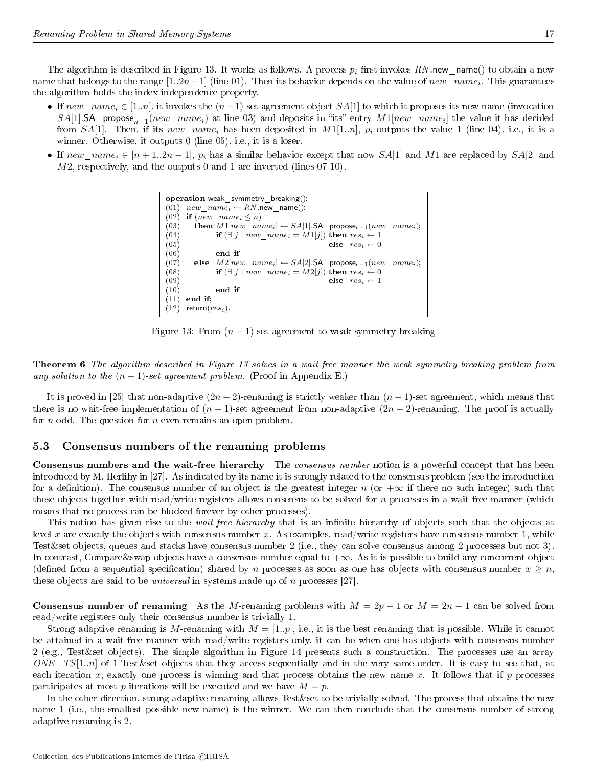The algorithm is described in Figure 13. It works as follows. A process  $p_i$  first invokes  $RN$ .new\_name() to obtain a new name that belongs to the range  $[1..2n-1]$  (line 01). Then its behavior depends on the value of  $new\_name_i$ . This guarantees the algorithm holds the index independence property.

- If  $new\_name_i \in [1..n]$ , it invokes the  $(n-1)$ -set agreement object  $SA[1]$  to which it proposes its new name (invocation  $SA[1].$ SA\_propose $_{n-1}(new\_name_i)$  at line 03) and deposits in "its" entry  $M1[new\_name_i]$  the value it has decided from SA[1]. Then, if its new name<sub>i</sub> has been deposited in M1[1..n],  $p_i$  outputs the value 1 (line 04), i.e., it is a winner. Otherwise, it outputs 0 (line 05), i.e., it is a loser.
- If new name<sub>i</sub> ∈ [n + 1..2n 1],  $p_i$  has a similar behavior except that now SA[1] and M1 are replaced by SA[2] and  $M2$ , respectively, and the outputs 0 and 1 are inverted (lines 07-10).

```
operation weak symmetry breaking():
(01) new\_name_i \leftarrow RN.new\_name();<br>(02) if (new\_name_i \leq n)if (new \ name_i \leq n)(03) then M1[new_name_i] \leftarrow SA[1].SA propose<sub>n−1</sub>(new name<sub>i</sub>);
(04) if (\exists j \mid new \ name_i = M1[j]) then res_i \leftarrow 1(05) else res_i \leftarrow 0<br>(06) end if
                  end if
(07) else M2[new\_name_i] \leftarrow SA[2].SA\_propose_{n-1}(new\_name_i);<br>(08) \textbf{if} (\exists j | new name_i = M2[i]) \textbf{then } res_i \leftarrow 0(08) if (\exists j \mid new\_name_i = M2[j]) then res_i \leftarrow 0<br>
(09) else res_i \leftarrow 1else res_i \leftarrow 1(10) end if
(11) end if:
(12) return(res<sub>i</sub>).
```
Figure 13: From  $(n-1)$ -set agreement to weak symmetry breaking

Theorem 6 The algorithm described in Figure 13 solves in a wait-free manner the weak symmetry breaking problem from any solution to the  $(n-1)$ -set agreement problem. (Proof in Appendix E.)

It is proved in [25] that non-adaptive  $(2n-2)$ -renaming is strictly weaker than  $(n-1)$ -set agreement, which means that there is no wait-free implementation of  $(n - 1)$ -set agreement from non-adaptive  $(2n - 2)$ -renaming. The proof is actually for  $n$  odd. The question for  $n$  even remains an open problem.

#### 5.3 Consensus numbers of the renaming problems

Consensus numbers and the wait-free hierarchy The consensus number notion is a powerful concept that has been introduced by M. Herlihy in [27]. As indicated by its name it is strongly related to the consensus problem (see the introduction for a definition). The consensus number of an object is the greatest integer n (or  $+\infty$  if there no such integer) such that these objects together with read/write registers allows consensus to be solved for n processes in a wait-free manner (which means that no process can be blocked forever by other processes).

This notion has given rise to the *wait-free hierarchy* that is an infinite hierarchy of objects such that the objects at level x are exactly the objects with consensus number x. As examples, read/write registers have consensus number 1, while Test&set objects, queues and stacks have consensus number 2 (i.e., they can solve consensus among 2 processes but not 3). In contrast, Compare&swap objects have a consensus number equal to +∞. As it is possible to build any concurrent object (defined from a sequential specification) shared by n processes as soon as one has objects with consensus number  $x \geq n$ , these objects are said to be universal in systems made up of n processes [27].

**Consensus number of renaming** As the M-renaming problems with  $M = 2p - 1$  or  $M = 2n - 1$  can be solved from read/write registers only their consensus number is trivially 1.

Strong adaptive renaming is M-renaming with  $M = [1..p]$ , i.e., it is the best renaming that is possible. While it cannot be attained in a wait-free manner with read/write registers only, it can be when one has objects with consensus number 2 (e.g., Test&set objects). The simple algorithm in Figure 14 presents such a construction. The processes use an array ONE  $TS[1..n]$  of 1-Test&set objects that they access sequentially and in the very same order. It is easy to see that, at each iteration x, exactly one process is winning and that process obtains the new name x. It follows that if p processes participates at most p iterations will be executed and we have  $M = p$ .

In the other direction, strong adaptive renaming allows Test&set to be trivially solved. The process that obtains the new name 1 (i.e., the smallest possible new name) is the winner. We can then conclude that the consensus number of strong adaptive renaming is 2.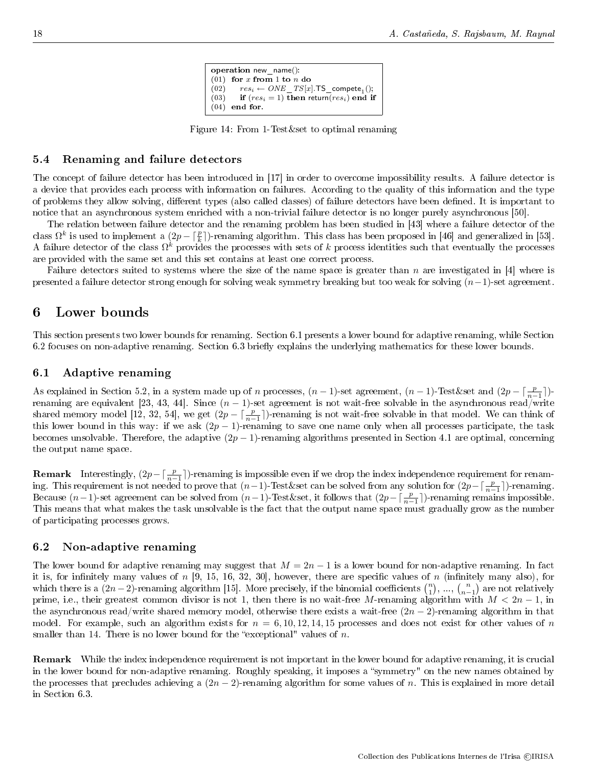operation new\_name():  $(01)$  for x from 1 to n do  $(02)$   $res_i \leftarrow ONE\_TS[x].$ TS\_compete<sub>1</sub>(); (03) if  $(res_i = 1)$  then return $(res_i)$  end if  $(04)$  end for

Figure 14: From 1-Test&set to optimal renaming

#### 5.4 Renaming and failure detectors

The concept of failure detector has been introduced in [17] in order to overcome impossibility results. A failure detector is a device that provides each process with information on failures. According to the quality of this information and the type of problems they allow solving, different types (also called classes) of failure detectors have been defined. It is important to notice that an asynchronous system enriched with a non-trivial failure detector is no longer purely asynchronous [50].

The relation between failure detector and the renaming problem has been studied in [43] where a failure detector of the class  $\Omega^k$  is used to implement a  $(2p - \lceil \frac{p}{k} \rceil)$ -renaming algorithm. This class has been proposed in [46] and generalized in [53]. A failure detector of the class  $\Omega^k$  provides the processes with sets of k process identities such that eventually the processes are provided with the same set and this set contains at least one correct process.

Failure detectors suited to systems where the size of the name space is greater than n are investigated in [4] where is presented a failure detector strong enough for solving weak symmetry breaking but too weak for solving (n−1)-set agreement.

### 6 Lower bounds

This section presents two lower bounds for renaming. Section 6.1 presents a lower bound for adaptive renaming, while Section 6.2 focuses on non-adaptive renaming. Section 6.3 briefly explains the underlying mathematics for these lower bounds.

#### 6.1 Adaptive renaming

As explained in Section 5.2, in a system made up of n processes,  $(n-1)$ -set agreement,  $(n-1)$ -Test&set and  $(2p - \lceil \frac{p}{n-1} \rceil)$ renaming are equivalent [23, 43, 44]. Since  $(n - 1)$ -set agreement is not wait-free solvable in the asynchronous read/write shared memory model [12, 32, 54], we get  $(2p - \lceil \frac{p}{n-1} \rceil)$ -renaming is not wait-free solvable in that model. We can think of this lower bound in this way: if we ask  $(2p - 1)$ -renaming to save one name only when all processes participate, the task becomes unsolvable. Therefore, the adaptive  $(2p - 1)$ -renaming algorithms presented in Section 4.1 are optimal, concerning the output name space.

**Remark** Interestingly,  $(2p - \lceil \frac{p}{n-1} \rceil)$ -renaming is impossible even if we drop the index independence requirement for renaming. This requirement is not needed to prove that  $(n-1)$ -Test&set can be solved from any solution for  $(2p-\lceil\frac{p}{n-1}\rceil)$ -renaming. Because  $(n-1)$ -set agreement can be solved from  $(n-1)$ -Test&set, it follows that  $(2p - \lceil \frac{p}{n-1} \rceil)$ -renaming remains impossible. This means that what makes the task unsolvable is the fact that the output name space must gradually grow as the number of participating processes grows.

#### 6.2 Non-adaptive renaming

The lower bound for adaptive renaming may suggest that  $M = 2n - 1$  is a lower bound for non-adaptive renaming. In fact it is, for infinitely many values of  $n$  [9, 15, 16, 32, 30], however, there are specific values of  $n$  (infinitely many also), for which there is a  $(2n-2)$ -renaming algorithm [15]. More precisely, if the binomial coefficients  $\binom{n}{1}, \ldots, \binom{n}{n-1}$  are not relatively prime, i.e., their greatest common divisor is not 1, then there is no wait-free M-renaming algorithm with  $M < 2n - 1$ , in the asynchronous read/write shared memory model, otherwise there exists a wait-free  $(2n-2)$ -renaming algorithm in that model. For example, such an algorithm exists for  $n = 6, 10, 12, 14, 15$  processes and does not exist for other values of n smaller than 14. There is no lower bound for the "exceptional" values of  $n$ .

Remark While the index independence requirement is not important in the lower bound for adaptive renaming, it is crucial in the lower bound for non-adaptive renaming. Roughly speaking, it imposes a "symmetry" on the new names obtained by the processes that precludes achieving a  $(2n - 2)$ -renaming algorithm for some values of n. This is explained in more detail in Section 6.3.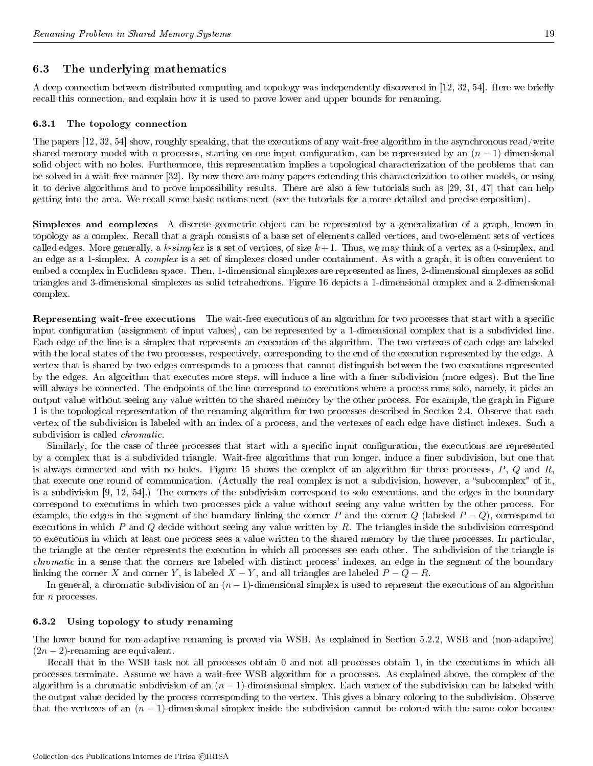#### 6.3 The underlying mathematics

A deep connection between distributed computing and topology was independently discovered in [12, 32, 54]. Here we briefly recall this connection, and explain how it is used to prove lower and upper bounds for renaming.

#### 6.3.1 The topology connection

The papers [12, 32, 54] show, roughly speaking, that the executions of any wait-free algorithm in the asynchronous read/write shared memory model with n processes, starting on one input configuration, can be represented by an  $(n-1)$ -dimensional solid object with no holes. Furthermore, this representation implies a topological characterization of the problems that can be solved in a wait-free manner [32]. By now there are many papers extending this characterization to other models, or using it to derive algorithms and to prove impossibility results. There are also a few tutorials such as [29, 31, 47] that can help getting into the area. We recall some basic notions next (see the tutorials for a more detailed and precise exposition).

Simplexes and complexes A discrete geometric object can be represented by a generalization of a graph, known in topology as a complex. Recall that a graph consists of a base set of elements called vertices, and two-element sets of vertices called edges. More generally, a  $k\text{-}simplex$  is a set of vertices, of size  $k+1$ . Thus, we may think of a vertex as a 0-simplex, and an edge as a 1-simplex. A complex is a set of simplexes closed under containment. As with a graph, it is often convenient to embed a complex in Euclidean space. Then, 1-dimensional simplexes are represented as lines, 2-dimensional simplexes as solid triangles and 3-dimensional simplexes as solid tetrahedrons. Figure 16 depicts a 1-dimensional complex and a 2-dimensional complex.

Representing wait-free executions The wait-free executions of an algorithm for two processes that start with a specific input configuration (assignment of input values), can be represented by a 1-dimensional complex that is a subdivided line. Each edge of the line is a simplex that represents an execution of the algorithm. The two vertexes of each edge are labeled with the local states of the two processes, respectively, corresponding to the end of the execution represented by the edge. A vertex that is shared by two edges corresponds to a process that cannot distinguish between the two executions represented by the edges. An algorithm that executes more steps, will induce a line with a finer subdivision (more edges). But the line will always be connected. The endpoints of the line correspond to executions where a process runs solo, namely, it picks an output value without seeing any value written to the shared memory by the other process. For example, the graph in Figure 1 is the topological representation of the renaming algorithm for two processes described in Section 2.4. Observe that each vertex of the subdivision is labeled with an index of a process, and the vertexes of each edge have distinct indexes. Such a subdivision is called chromatic.

Similarly, for the case of three processes that start with a specific input configuration, the executions are represented by a complex that is a subdivided triangle. Wait-free algorithms that run longer, induce a finer subdivision, but one that is always connected and with no holes. Figure 15 shows the complex of an algorithm for three processes,  $P$ ,  $Q$  and  $R$ , that execute one round of communication. (Actually the real complex is not a subdivision, however, a "subcomplex" of it, is a subdivision [9, 12, 54].) The corners of the subdivision correspond to solo executions, and the edges in the boundary correspond to executions in which two processes pick a value without seeing any value written by the other process. For example, the edges in the segment of the boundary linking the corner P and the corner Q (labeled  $P - Q$ ), correspond to executions in which  $P$  and  $Q$  decide without seeing any value written by  $R$ . The triangles inside the subdivision correspond to executions in which at least one process sees a value written to the shared memory by the three processes. In particular, the triangle at the center represents the execution in which all processes see each other. The subdivision of the triangle is chromatic in a sense that the corners are labeled with distinct process' indexes, an edge in the segment of the boundary linking the corner X and corner Y, is labeled  $X - Y$ , and all triangles are labeled  $P - Q - R$ .

In general, a chromatic subdivision of an  $(n-1)$ -dimensional simplex is used to represent the executions of an algorithm for *n* processes.

#### 6.3.2 Using topology to study renaming

The lower bound for non-adaptive renaming is proved via WSB. As explained in Section 5.2.2, WSB and (non-adaptive)  $(2n-2)$ -renaming are equivalent.

Recall that in the WSB task not all processes obtain 0 and not all processes obtain 1, in the executions in which all processes terminate. Assume we have a wait-free WSB algorithm for n processes. As explained above, the complex of the algorithm is a chromatic subdivision of an  $(n - 1)$ -dimensional simplex. Each vertex of the subdivision can be labeled with the output value decided by the process corresponding to the vertex. This gives a binary coloring to the subdivision. Observe that the vertexes of an  $(n - 1)$ -dimensional simplex inside the subdivision cannot be colored with the same color because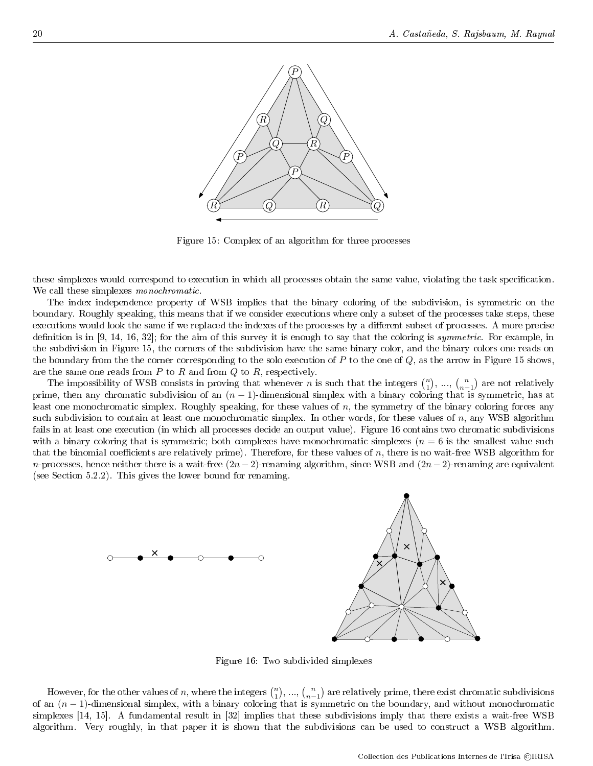

Figure 15: Complex of an algorithm for three processes

these simplexes would correspond to execution in which all processes obtain the same value, violating the task specication. We call these simplexes *monochromatic*.

The index independence property of WSB implies that the binary coloring of the subdivision, is symmetric on the boundary. Roughly speaking, this means that if we consider executions where only a subset of the processes take steps, these executions would look the same if we replaced the indexes of the processes by a different subset of processes. A more precise definition is in [9, 14, 16, 32]; for the aim of this survey it is enough to say that the coloring is symmetric. For example, in the subdivision in Figure 15, the corners of the subdivision have the same binary color, and the binary colors one reads on the boundary from the the corner corresponding to the solo execution of  $P$  to the one of  $Q$ , as the arrow in Figure 15 shows, are the same one reads from  $P$  to  $R$  and from  $Q$  to  $R$ , respectively.

The impossibility of WSB consists in proving that whenever n is such that the integers  $\binom{n}{1}$ , ...,  $\binom{n}{n-1}$  are not relatively prime, then any chromatic subdivision of an  $(n - 1)$ -dimensional simplex with a binary coloring that is symmetric, has at least one monochromatic simplex. Roughly speaking, for these values of  $n$ , the symmetry of the binary coloring forces any such subdivision to contain at least one monochromatic simplex. In other words, for these values of n, any WSB algorithm fails in at least one execution (in which all processes decide an output value). Figure 16 contains two chromatic subdivisions with a binary coloring that is symmetric; both complexes have monochromatic simplexes  $(n = 6$  is the smallest value such that the binomial coefficients are relatively prime). Therefore, for these values of  $n$ , there is no wait-free WSB algorithm for n-processes, hence neither there is a wait-free  $(2n-2)$ -renaming algorithm, since WSB and  $(2n-2)$ -renaming are equivalent (see Section 5.2.2). This gives the lower bound for renaming.



Figure 16: Two subdivided simplexes

However, for the other values of n, where the integers  $\binom{n}{1},...,\binom{n}{n-1}$  are relatively prime, there exist chromatic subdivisions of an  $(n-1)$ -dimensional simplex, with a binary coloring that is symmetric on the boundary, and without monochromatic simplexes [14, 15]. A fundamental result in [32] implies that these subdivisions imply that there exists a wait-free WSB algorithm. Very roughly, in that paper it is shown that the subdivisions can be used to construct a WSB algorithm.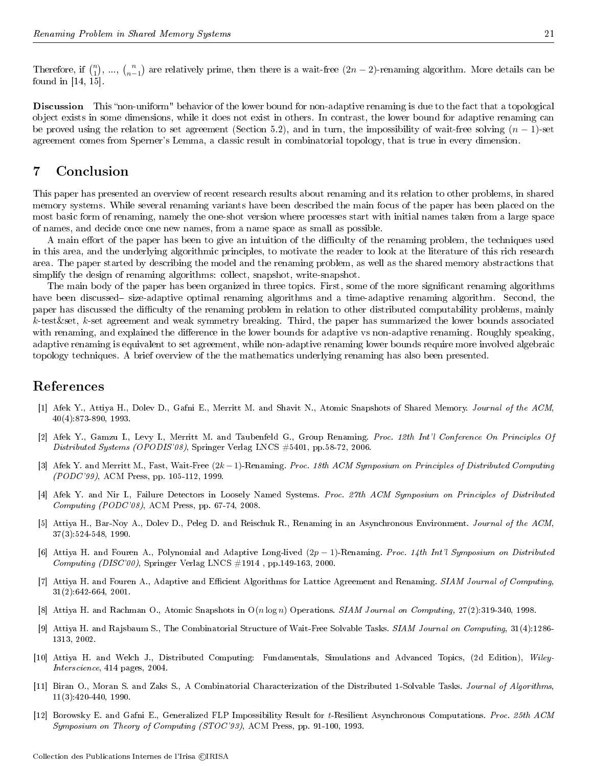Therefore, if  $\binom{n}{1}$ , ...,  $\binom{n}{n-1}$  are relatively prime, then there is a wait-free  $(2n-2)$ -renaming algorithm. More details can be found in [14, 15].

**Discussion** This "non-uniform" behavior of the lower bound for non-adaptive renaming is due to the fact that a topological object exists in some dimensions, while it does not exist in others. In contrast, the lower bound for adaptive renaming can be proved using the relation to set agreement (Section 5.2), and in turn, the impossibility of wait-free solving  $(n-1)$ -set agreement comes from Sperner's Lemma, a classic result in combinatorial topology, that is true in every dimension.

## 7 Conclusion

This paper has presented an overview of recent research results about renaming and its relation to other problems, in shared memory systems. While several renaming variants have been described the main focus of the paper has been placed on the most basic form of renaming, namely the one-shot version where processes start with initial names taken from a large space of names, and decide once one new names, from a name space as small as possible.

A main effort of the paper has been to give an intuition of the difficulty of the renaming problem, the techniques used in this area, and the underlying algorithmic principles, to motivate the reader to look at the literature of this rich research area. The paper started by describing the model and the renaming problem, as well as the shared memory abstractions that simplify the design of renaming algorithms: collect, snapshot, write-snapshot.

The main body of the paper has been organized in three topics. First, some of the more significant renaming algorithms have been discussed- size-adaptive optimal renaming algorithms and a time-adaptive renaming algorithm. Second, the paper has discussed the difficulty of the renaming problem in relation to other distributed computability problems, mainly k-test&set, k-set agreement and weak symmetry breaking. Third, the paper has summarized the lower bounds associated with renaming, and explained the difference in the lower bounds for adaptive vs non-adaptive renaming. Roughly speaking, adaptive renaming is equivalent to set agreement, while non-adaptive renaming lower bounds require more involved algebraic topology techniques. A brief overview of the the mathematics underlying renaming has also been presented.

### References

- [1] Afek Y., Attiya H., Dolev D., Gafni E., Merritt M. and Shavit N., Atomic Snapshots of Shared Memory. Journal of the ACM, 40(4):873-890, 1993.
- [2] Afek Y., Gamzu I., Levy I., Merritt M. and Taubenfeld G., Group Renaming. Proc. 12th Int'l Conference On Principles Of Distributed Systems (OPODIS'08), Springer Verlag LNCS #5401, pp.58-72, 2006.
- [3] Afek Y. and Merritt M., Fast, Wait-Free  $(2k-1)$ -Renaming. Proc. 18th ACM Symposium on Principles of Distributed Computing (PODC'99), ACM Press, pp. 105-112, 1999.
- [4] Afek Y. and Nir I., Failure Detectors in Loosely Named Systems. Proc. 27th ACM Symposium on Principles of Distributed Computing (PODC'08), ACM Press, pp. 67-74, 2008.
- [5] Attiya H., Bar-Noy A., Dolev D., Peleg D. and Reischuk R., Renaming in an Asynchronous Environment. Journal of the ACM, 37(3):524-548, 1990.
- [6] Attiya H. and Fouren A., Polynomial and Adaptive Long-lived (2p − 1)-Renaming. Proc. 14th Int'l Symposium on Distributed Computing (DISC'00), Springer Verlag LNCS  $\#1914$ , pp.149-163, 2000.
- [7] Attiya H. and Fouren A., Adaptive and Efficient Algorithms for Lattice Agreement and Renaming. SIAM Journal of Computing, 31(2):642-664, 2001.
- [8] Attiya H. and Rachman O., Atomic Snapshots in O(n log n) Operations. SIAM Journal on Computing, 27(2):319-340, 1998.
- [9] Attiya H. and Rajsbaum S., The Combinatorial Structure of Wait-Free Solvable Tasks. SIAM Journal on Computing, 31(4):1286- 1313, 2002.
- [10] Attiya H. and Welch J., Distributed Computing: Fundamentals, Simulations and Advanced Topics, (2d Edition), Wiley-Interscience, 414 pages, 2004.
- [11] Biran O., Moran S. and Zaks S., A Combinatorial Characterization of the Distributed 1-Solvable Tasks. Journal of Algorithms, 11(3):420-440, 1990.
- [12] Borowsky E. and Gafni E., Generalized FLP Impossibility Result for t-Resilient Asynchronous Computations. Proc. 25th ACM Symposium on Theory of Computing (STOC'93), ACM Press, pp. 91-100, 1993.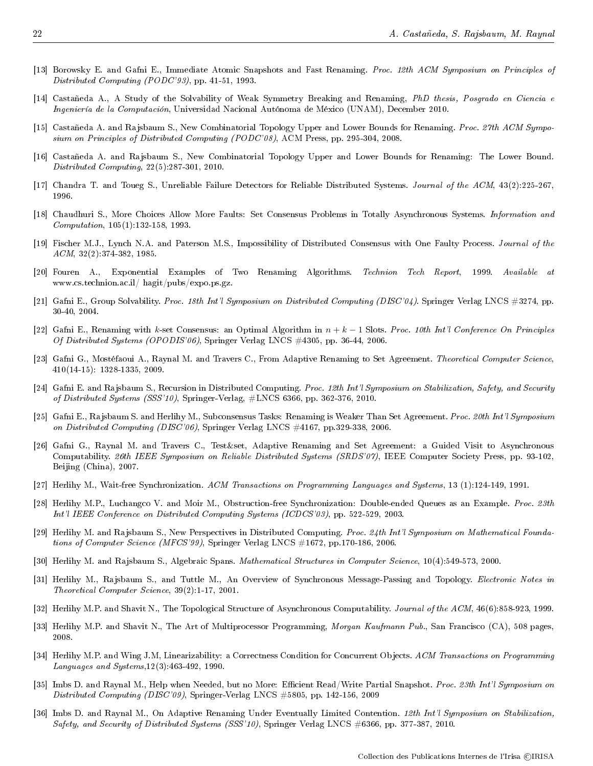- [13] Borowsky E. and Gafni E., Immediate Atomic Snapshots and Fast Renaming. Proc. 12th ACM Symposium on Principles of Distributed Computing (PODC'93), pp. 41-51, 1993.
- [14] Castañeda A., A Study of the Solvability of Weak Symmetry Breaking and Renaming, PhD thesis, Posgrado en Ciencia e Ingeniería de la Computación, Universidad Nacional Autónoma de México (UNAM), December 2010.
- [15] Castañeda A. and Rajsbaum S., New Combinatorial Topology Upper and Lower Bounds for Renaming. Proc. 27th ACM Symposium on Principles of Distributed Computing (PODC'08), ACM Press, pp. 295-304, 2008.
- [16] Castañeda A. and Rajsbaum S., New Combinatorial Topology Upper and Lower Bounds for Renaming: The Lower Bound. Distributed Computing, 22(5):287-301, 2010.
- [17] Chandra T. and Toueg S., Unreliable Failure Detectors for Reliable Distributed Systems. Journal of the ACM, 43(2):225-267, 1996.
- [18] Chaudhuri S., More Choices Allow More Faults: Set Consensus Problems in Totally Asynchronous Systems. Information and Computation, 105(1):132-158, 1993.
- [19] Fischer M.J., Lynch N.A. and Paterson M.S., Impossibility of Distributed Consensus with One Faulty Process. Journal of the ACM, 32(2):374-382, 1985.
- [20] Fouren A., Exponential Examples of Two Renaming Algorithms. Technion Tech Report, 1999. Available at www.cs.technion.ac.il/ hagit/pubs/expo.ps.gz.
- [21] Gafni E., Group Solvability. Proc. 18th Int'l Symposium on Distributed Computing (DISC'04). Springer Verlag LNCS #3274, pp. 30-40, 2004.
- [22] Gafni E., Renaming with k-set Consensus: an Optimal Algorithm in  $n + k 1$  Slots. Proc. 10th Int'l Conference On Principles Of Distributed Systems (OPODIS'06), Springer Verlag LNCS #4305, pp. 36-44, 2006.
- [23] Gafni G., Mostéfaoui A., Raynal M. and Travers C., From Adaptive Renaming to Set Agreement. *Theoretical Computer Science*, 410(14-15): 1328-1335, 2009.
- [24] Gafni E. and Rajsbaum S., Recursion in Distributed Computing. Proc. 12th Int'l Symposium on Stabilization, Safety, and Security of Distributed Systems  $(SSS'10)$ , Springer-Verlag,  $\#$ LNCS 6366, pp. 362-376, 2010.
- [25] Gafni E., Rajsbaum S. and Herlihy M., Subconsensus Tasks: Renaming is Weaker Than Set Agreement. Proc. 20th Int'l Symposium on Distributed Computing (DISC'06), Springer Verlag LNCS #4167, pp.329-338, 2006.
- [26] Gafni G., Raynal M. and Travers C., Test&set, Adaptive Renaming and Set Agreement: a Guided Visit to Asynchronous Computability. 26th IEEE Symposium on Reliable Distributed Systems (SRDS'07), IEEE Computer Society Press, pp. 93-102, Beijing (China), 2007.
- [27] Herlihy M., Wait-free Synchronization. ACM Transactions on Programming Languages and Systems, 13 (1):124-149, 1991.
- [28] Herlihy M.P., Luchangco V. and Moir M., Obstruction-free Synchronization: Double-ended Queues as an Example. Proc. 23th Int'l IEEE Conference on Distributed Computing Systems (ICDCS'03), pp. 522-529, 2003.
- [29] Herlihy M. and Rajsbaum S., New Perspectives in Distributed Computing. Proc. 24th Int'l Symposium on Mathematical Foundations of Computer Science (MFCS'99), Springer Verlag LNCS #1672, pp.170-186, 2006.
- [30] Herlihy M. and Rajsbaum S., Algebraic Spans. Mathematical Structures in Computer Science, 10(4):549-573, 2000.
- [31] Herlihy M., Rajsbaum S., and Tuttle M., An Overview of Synchronous Message-Passing and Topology. Electronic Notes in Theoretical Computer Science, 39(2):1-17, 2001.
- [32] Herlihy M.P. and Shavit N., The Topological Structure of Asynchronous Computability. Journal of the ACM, 46(6):858-923, 1999.
- [33] Herlihy M.P. and Shavit N., The Art of Multiprocessor Programming, Morgan Kaufmann Pub., San Francisco (CA), 508 pages, 2008.
- [34] Herlihy M.P. and Wing J.M, Linearizability: a Correctness Condition for Concurrent Objects. ACM Transactions on Programming Languages and Systems,12(3):463-492, 1990.
- [35] Imbs D. and Raynal M., Help when Needed, but no More: Efficient Read/Write Partial Snapshot. Proc. 23th Int'l Symposium on Distributed Computing (DISC'09), Springer-Verlag LNCS #5805, pp. 142-156, 2009
- [36] Imbs D. and Raynal M., On Adaptive Renaming Under Eventually Limited Contention. 12th Int'l Symposium on Stabilization, Safety, and Security of Distributed Systems  $(SSS'10)$ , Springer Verlag LNCS  $\#6366$ , pp. 377-387, 2010.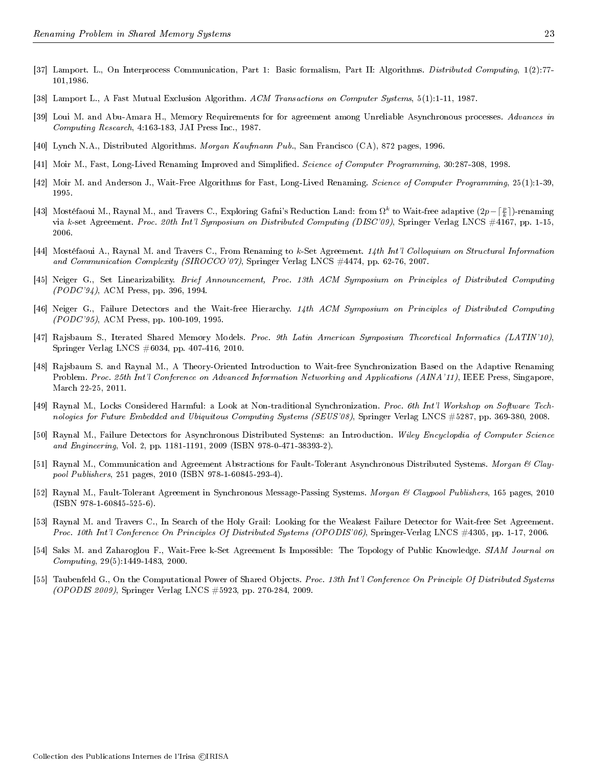- [37] Lamport. L., On Interprocess Communication, Part 1: Basic formalism, Part II: Algorithms. Distributed Computing, 1(2):77- 101,1986.
- [38] Lamport L., A Fast Mutual Exclusion Algorithm. ACM Transactions on Computer Systems, 5(1):1-11, 1987.
- [39] Loui M. and Abu-Amara H., Memory Requirements for for agreement among Unreliable Asynchronous processes. Advances in Computing Research, 4:163-183, JAI Press Inc., 1987.
- [40] Lynch N.A., Distributed Algorithms. Morgan Kaufmann Pub., San Francisco (CA), 872 pages, 1996.
- [41] Moir M., Fast, Long-Lived Renaming Improved and Simplied. Science of Computer Programming, 30:287-308, 1998.
- [42] Moir M. and Anderson J., Wait-Free Algorithms for Fast, Long-Lived Renaming. Science of Computer Programming, 25(1):1-39, 1995.
- [43] Mostéfaoui M., Raynal M., and Travers C., Exploring Gafni's Reduction Land: from  $\Omega^k$  to Wait-free adaptive  $(2p \lceil \frac{p}{k} \rceil)$ -renaming via k-set Agreement. Proc. 20th Int'l Symposium on Distributed Computing (DISC'09), Springer Verlag LNCS #4167, pp. 1-15, 2006.
- [44] Mostéfaoui A., Raynal M. and Travers C., From Renaming to k-Set Agreement. 14th Int'l Colloquium on Structural Information and Communication Complexity (SIROCCO'07), Springer Verlag LNCS #4474, pp. 62-76, 2007.
- [45] Neiger G., Set Linearizability. Brief Announcement, Proc. 13th ACM Symposium on Principles of Distributed Computing (PODC'94), ACM Press, pp. 396, 1994.
- [46] Neiger G., Failure Detectors and the Wait-free Hierarchy. 14th ACM Symposium on Principles of Distributed Computing (PODC'95), ACM Press, pp. 100-109, 1995.
- [47] Rajsbaum S., Iterated Shared Memory Models. Proc. 9th Latin American Symposium Theoretical Informatics (LATIN'10), Springer Verlag LNCS #6034, pp. 407-416, 2010.
- [48] Rajsbaum S. and Raynal M., A Theory-Oriented Introduction to Wait-free Synchronization Based on the Adaptive Renaming Problem. Proc. 25th Int'l Conference on Advanced Information Networking and Applications (AINA'11), IEEE Press, Singapore, March 22-25, 2011.
- [49] Raynal M., Locks Considered Harmful: a Look at Non-traditional Synchronization. Proc. 6th Int'l Workshop on Software Technologies for Future Embedded and Ubiquitous Computing Systems (SEUS'08), Springer Verlag LNCS #5287, pp. 369-380, 2008.
- [50] Raynal M., Failure Detectors for Asynchronous Distributed Systems: an Introduction. Wiley Encyclopdia of Computer Science and Engineering, Vol. 2, pp. 1181-1191, 2009 (ISBN 978-0-471-38393-2).
- [51] Raynal M., Communication and Agreement Abstractions for Fault-Tolerant Asynchronous Distributed Systems. Morgan & Claypool Publishers, 251 pages, 2010 (ISBN 978-1-60845-293-4).
- [52] Raynal M., Fault-Tolerant Agreement in Synchronous Message-Passing Systems. Morgan & Claypool Publishers, 165 pages, 2010 (ISBN 978-1-60845-525-6).
- [53] Raynal M. and Travers C., In Search of the Holy Grail: Looking for the Weakest Failure Detector for Wait-free Set Agreement. Proc. 10th Int'l Conference On Principles Of Distributed Systems (OPODIS'06), Springer-Verlag LNCS #4305, pp. 1-17, 2006.
- [54] Saks M. and Zaharoglou F., Wait-Free k-Set Agreement Is Impossible: The Topology of Public Knowledge. SIAM Journal on Computing, 29(5):1449-1483, 2000.
- [55] Taubenfeld G., On the Computational Power of Shared Objects. Proc. 13th Int'l Conference On Principle Of Distributed Systems (OPODIS 2009), Springer Verlag LNCS #5923, pp. 270-284, 2009.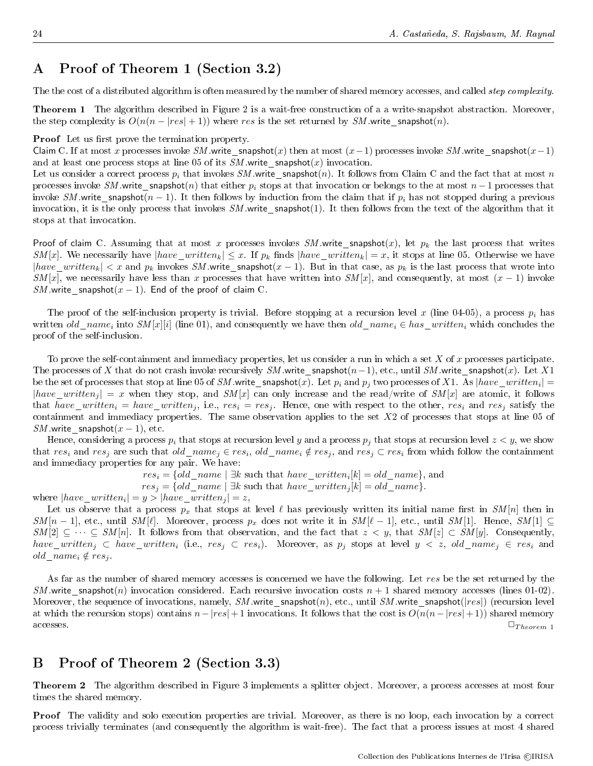## A Proof of Theorem 1 (Section 3.2)

The the cost of a distributed algorithm is often measured by the number of shared memory accesses, and called *step complexity*.

Theorem 1 The algorithm described in Figure 2 is a wait-free construction of a a write-snapshot abstraction. Moreover, the step complexity is  $O(n(n - |res| + 1))$  where res is the set returned by SM write snapshot(n).

#### **Proof** Let us first prove the termination property.

Claim C. If at most x processes invoke SM .write snapshot(x) then at most  $(x-1)$  processes invoke SM .write snapshot $(x-1)$ and at least one process stops at line 05 of its  $SM$  write snapshot(x) invocation.

Let us consider a correct process  $p_i$  that invokes SM write\_snapshot $(n)$ . It follows from Claim C and the fact that at most n processes invoke  $SM$  .write snapshot $(n)$  that either  $p_i$  stops at that invocation or belongs to the at most  $n - 1$  processes that invoke SM .write snapshot $(n - 1)$ . It then follows by induction from the claim that if  $p_i$  has not stopped during a previous invocation, it is the only process that invokes  $SM$  write snapshot(1). It then follows from the text of the algorithm that it stops at that invocation.

Proof of claim C. Assuming that at most x processes invokes  $SM$  write\_snapshot(x), let  $p_k$  the last process that writes  $SM[x]$ . We necessarily have  $|have\_written_k| \leq x$ . If  $p_k$  finds  $|have\_written_k| = x$ , it stops at line 05. Otherwise we have |have written<sub>k</sub>|  $\lt x$  and  $p_k$  invokes SM write snapshot(x - 1). But in that case, as  $p_k$  is the last process that wrote into  $SM[x]$ , we necessarily have less than x processes that have written into  $SM[x]$ , and consequently, at most  $(x - 1)$  invoke SM write snapshot $(x - 1)$ . End of the proof of claim C.

The proof of the self-inclusion property is trivial. Before stopping at a recursion level x (line 04-05), a process  $p_i$  has written  $old\_name_i$  into  $SM[x][i]$  (line 01), and consequently we have then  $old\_name_i \in has\_written_i$  which concludes the proof of the self-inclusion.

To prove the self-containment and immediacy properties, let us consider a run in which a set  $X$  of  $x$  processes participate. The processes of X that do not crash invoke recursively SM .write\_snapshot(n−1), etc., until SM .write\_snapshot(x). Let X1 be the set of processes that stop at line 05 of SM write\_snapshot(x). Let  $p_i$  and  $p_j$  two processes of X1. As  $|have\_written_i| =$  $|have\_written_j| = x$  when they stop, and  $SM[x]$  can only increase and the read/write of  $SM[x]$  are atomic, it follows that have written<sub>i</sub> = have written<sub>i</sub>, i.e.,  $res_i = res_j$ . Hence, one with respect to the other, res<sub>i</sub> and res<sub>i</sub> satisfy the containment and immediacy properties. The same observation applies to the set X2 of processes that stops at line 05 of SM write snapshot $(x - 1)$ , etc.

Hence, considering a process  $p_i$  that stops at recursion level y and a process  $p_j$  that stops at recursion level  $z < y$ , we show that  $res_i$  and  $res_j$  are such that  $old\_name_j \in res_i$ ,  $old\_name_i \notin res_j$ , and  $res_j \subset res_i$  from which follow the containment and immediacy properties for any pair. We have:

 $res_i = \{old\_name \mid \exists k \text{ such that } have\_written_i[k] = old\_name\}, \text{ and }$ 

$$
res_j = \{old\_name \mid \exists k \text{ such that } have\_written_j[k] = old\_name\}.
$$

where  $|have\_written_i| = y > |have\_written_j| = z$ ,

Let us observe that a process  $p_x$  that stops at level  $\ell$  has previously written its initial name first in  $SM[n]$  then in  $SM[n-1]$ , etc., until  $SM[\ell]$ . Moreover, process  $p_x$  does not write it in  $SM[\ell - 1]$ , etc., until  $SM[1]$ . Hence,  $SM[1] \subseteq$  $SM[2] \subseteq \cdots \subseteq SM[n]$ . It follows from that observation, and the fact that  $z < y$ , that  $SM[z] \subset SM[y]$ . Consequently, have written<sub>i</sub> ⊂ have written<sub>i</sub> (i.e., res<sub>i</sub> ⊂ res<sub>i</sub>). Moreover, as p<sub>i</sub> stops at level  $y < z$ , old name<sub>j</sub> ∈ res<sub>i</sub> and old  $name_i \notin res_j$ .

As far as the number of shared memory accesses is concerned we have the following. Let res be the set returned by the SM write\_snapshot(n) invocation considered. Each recursive invocation costs  $n + 1$  shared memory accesses (lines 01-02). Moreover, the sequence of invocations, namely, SM write snapshot(n), etc., until SM write snapshot(|res|) (recursion level at which the recursion stops) contains  $n-|res|+1$  invocations. It follows that the cost is  $O(n(n-|res|+1))$  shared memory  $\Box_{Theorem~1}$ 

## B Proof of Theorem 2 (Section 3.3)

Theorem 2 The algorithm described in Figure 3 implements a splitter object. Moreover, a process accesses at most four times the shared memory.

Proof The validity and solo execution properties are trivial. Moreover, as there is no loop, each invocation by a correct process trivially terminates (and consequently the algorithm is wait-free). The fact that a process issues at most 4 shared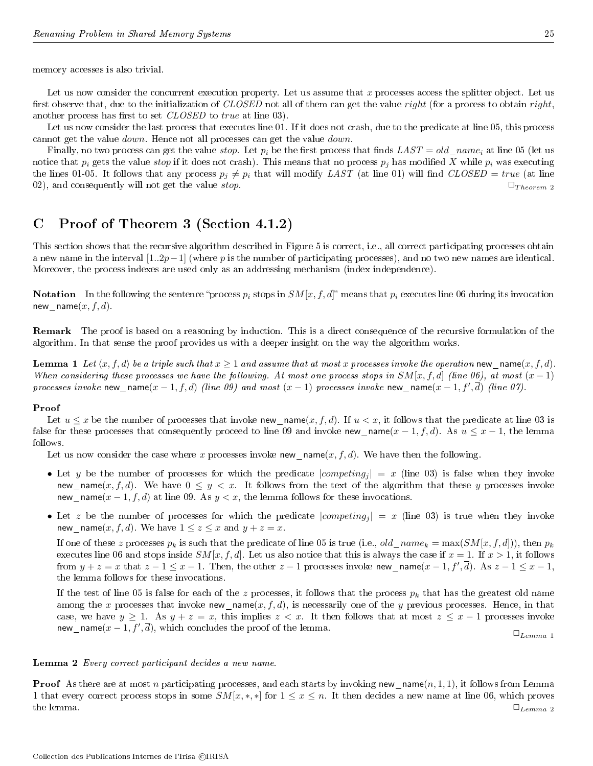memory accesses is also trivial.

Let us now consider the concurrent execution property. Let us assume that  $x$  processes access the splitter object. Let us first observe that, due to the initialization of CLOSED not all of them can get the value right (for a process to obtain right, another process has first to set *CLOSED* to *true* at line 03).

Let us now consider the last process that executes line 01. If it does not crash, due to the predicate at line 05, this process cannot get the value down. Hence not all processes can get the value down.

Finally, no two process can get the value stop. Let  $p_i$  be the first process that finds  $LAST = old$  name<sub>i</sub> at line 05 (let us notice that  $p_i$  gets the value stop if it does not crash). This means that no process  $p_j$  has modified X while  $p_i$  was executing the lines 01-05. It follows that any process  $p_j \neq p_i$  that will modify LAST (at line 01) will find CLOSED = true (at line 02), and consequently will not get the value stop. ✷T heorem <sup>2</sup>

## C Proof of Theorem 3 (Section 4.1.2)

This section shows that the recursive algorithm described in Figure 5 is correct, i.e., all correct participating processes obtain a new name in the interval  $[1..2p-1]$  (where p is the number of participating processes), and no two new names are identical. Moreover, the process indexes are used only as an addressing mechanism (index independence).

**Notation** In the following the sentence "process  $p_i$  stops in  $SM[x, f, d]$ " means that  $p_i$  executes line 06 during its invocation new name $(x, f, d)$ .

Remark The proof is based on a reasoning by induction. This is a direct consequence of the recursive formulation of the algorithm. In that sense the proof provides us with a deeper insight on the way the algorithm works.

**Lemma 1** Let  $\langle x, f, d \rangle$  be a triple such that  $x \ge 1$  and assume that at most x processes invoke the operation new name $(x, f, d)$ . When considering these processes we have the following. At most one process stops in  $SM[x, f, d]$  (line 06), at most  $(x - 1)$ processes invoke new name $(x - 1, f, d)$  (line 09) and most  $(x - 1)$  processes invoke new name $(x - 1, f', \overline{d})$  (line 07).

#### Proof

Let  $u \leq x$  be the number of processes that invoke new\_name $(x, f, d)$ . If  $u < x$ , it follows that the predicate at line 03 is false for these processes that consequently proceed to line 09 and invoke new name $(x - 1, f, d)$ . As  $u \leq x - 1$ , the lemma follows.

Let us now consider the case where x processes invoke new name $(x, f, d)$ . We have then the following.

- Let y be the number of processes for which the predicate  $|competitive| = x$  (line 03) is false when they invoke new name $(x, f, d)$ . We have  $0 \leq y \leq x$ . It follows from the text of the algorithm that these y processes invoke new name( $x = 1, f, d$ ) at line 09. As  $y < x$ , the lemma follows for these invocations.
- Let z be the number of processes for which the predicate  $|competitive_j| = x$  (line 03) is true when they invoke new name $(x, f, d)$ . We have  $1 \le z \le x$  and  $y + z = x$ .

If one of these z processes  $p_k$  is such that the predicate of line 05 is true (i.e., old name<sub>k</sub> = max( $SM[x, f, d]$ )), then  $p_k$ executes line 06 and stops inside  $SM[x, f, d]$ . Let us also notice that this is always the case if  $x = 1$ . If  $x > 1$ , it follows from  $y+z=x$  that  $z-1\leq x-1$ . Then, the other  $z-1$  processes invoke new\_name $(x-1,f',\overline{d})$ . As  $z-1\leq x-1,$ the lemma follows for these invocations.

If the test of line 05 is false for each of the z processes, it follows that the process  $p_k$  that has the greatest old name among the x processes that invoke new name $(x, f, d)$ , is necessarily one of the y previous processes. Hence, in that case, we have  $y \ge 1$ . As  $y + z = x$ , this implies  $z < x$ . It then follows that at most  $z \le x - 1$  processes invoke new\_name( $x - 1, f', \overline{d}$ ), which concludes the proof of the lemma.  $\Box$ 

#### Lemma 2 Every correct participant decides a new name.

**Proof** As there are at most n participating processes, and each starts by invoking new name $(n, 1, 1)$ , it follows from Lemma 1 that every correct process stops in some  $SM[x,*,*]$  for  $1 \leq x \leq n$ . It then decides a new name at line 06, which proves  $\Box_{Lemma \ 2} \hspace{2.8cm}$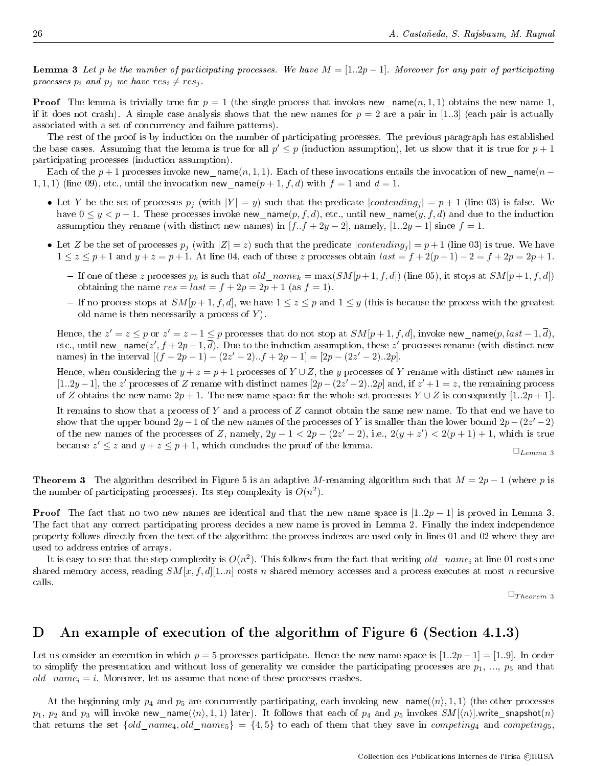**Lemma 3** Let p be the number of participating processes. We have  $M = \begin{bmatrix} 1 & 2p - 1 \end{bmatrix}$ . Moreover for any pair of participating processes  $p_i$  and  $p_j$  we have  $res_i \neq res_j$ .

**Proof** The lemma is trivially true for  $p = 1$  (the single process that invokes new name(n, 1, 1) obtains the new name 1, if it does not crash). A simple case analysis shows that the new names for  $p = 2$  are a pair in [1..3] (each pair is actually associated with a set of concurrency and failure patterns).

The rest of the proof is by induction on the number of participating processes. The previous paragraph has established the base cases. Assuming that the lemma is true for all  $p' \leq p$  (induction assumption), let us show that it is true for  $p+1$ participating processes (induction assumption).

Each of the  $p + 1$  processes invoke new name $(n, 1, 1)$ . Each of these invocations entails the invocation of new name $(n - 1)$ 1, 1, 1) (line 09), etc., until the invocation new name( $p + 1$ , f, d) with  $f = 1$  and  $d = 1$ .

- Let Y be the set of processes  $p_j$  (with  $|Y| = y$ ) such that the predicate  $|contenting_j| = p + 1$  (line 03) is false. We have  $0 \leq y \leq p+1$ . These processes invoke new name $(p, f, d)$ , etc., until new name $(y, f, d)$  and due to the induction assumption they rename (with distinct new names) in  $[f..f + 2y - 2]$ , namely,  $[1..2y - 1]$  since  $f = 1$ .
- Let Z be the set of processes  $p_i$  (with  $|Z| = z$ ) such that the predicate  $|contending_i| = p + 1$  (line 03) is true. We have  $1 \leq z \leq p+1$  and  $y+z=p+1$ . At line 04, each of these z processes obtain  $last = f + 2(p+1) - 2 = f + 2p = 2p+1$ .
	- If one of these z processes  $p_k$  is such that old  $name_k = \max(SM[p + 1, f, d])$  (line 05), it stops at  $SM[p + 1, f, d]$ obtaining the name  $res = last = f + 2p = 2p + 1$  (as  $f = 1$ ).
	- If no process stops at  $SM[p+1, f, d]$ , we have  $1 \leq z \leq p$  and  $1 \leq y$  (this is because the process with the greatest old name is then necessarily a process of  $Y$ ).

Hence, the  $z'=z\leq p$  or  $z'=z-1\leq p$  processes that do not stop at  $SM[p+1,f,d],$  invoke new\_name $(p, last-1,\overline{d}),$ etc., until new\_name( $z', f + 2p - 1, \overline{d}$ ). Due to the induction assumption, these  $z'$  processes rename (with distinct new names) in the interval  $[(f + 2p - 1) - (2z' - 2) \cdot f + 2p - 1] = [2p - (2z' - 2) \cdot 2p].$ 

Hence, when considering the  $y + z = p + 1$  processes of  $Y \cup Z$ , the y processes of Y rename with distinct new names in [1..2y -1], the z' processes of Z rename with distinct names  $[2p-(2z'-2)..2p]$  and, if  $z'+1=z$ , the remaining process of Z obtains the new name  $2p + 1$ . The new name space for the whole set processes  $Y \cup Z$  is consequently  $[1..2p + 1]$ .

It remains to show that a process of Y and a process of Z cannot obtain the same new name. To that end we have to show that the upper bound  $2y - 1$  of the new names of the processes of Y is smaller than the lower bound  $2p-(2z'-2)$ of the new names of the processes of Z, namely,  $2y - 1 < 2p - (2z' - 2)$ , i.e.,  $2(y + z') < 2(p + 1) + 1$ , which is true because  $z' \leq z$  and  $y + z \leq p + 1$ , which concludes the proof of the lemma.  $\square_{Lemma \,3}$ 

**Theorem 3** The algorithm described in Figure 5 is an adaptive M-renaming algorithm such that  $M = 2p - 1$  (where p is the number of participating processes). Its step complexity is  $O(n^2)$ .

**Proof** The fact that no two new names are identical and that the new name space is  $[1..2p-1]$  is proved in Lemma 3. The fact that any correct participating process decides a new name is proved in Lemma 2. Finally the index independence property follows directly from the text of the algorithm: the process indexes are used only in lines 01 and 02 where they are used to address entries of arrays.

It is easy to see that the step complexity is  $O(n^2)$ . This follows from the fact that writing  $old\_name_i$  at line 01 costs one shared memory access, reading  $SM[x, f, d][1..n]$  costs n shared memory accesses and a process executes at most n recursive calls.

 $\Box$ Theorem 3

## D An example of execution of the algorithm of Figure 6 (Section 4.1.3)

Let us consider an execution in which  $p = 5$  processes participate. Hence the new name space is  $[1..2p-1] = [1..9]$ . In order to simplify the presentation and without loss of generality we consider the participating processes are  $p_1, ..., p_5$  and that old name<sub>i</sub> = i. Moreover, let us assume that none of these processes crashes.

At the beginning only  $p_4$  and  $p_5$  are concurrently participating, each invoking new name( $\langle n \rangle$ , 1, 1) (the other processes  $p_1$ ,  $p_2$  and  $p_3$  will invoke new name( $\langle n \rangle$ , 1, 1) later). It follows that each of  $p_4$  and  $p_5$  invokes  $SM [\langle n \rangle]$ .write snapshot(n) that returns the set  $\{old$  name<sub>4</sub>, old name<sub>5</sub>} =  $\{4, 5\}$  to each of them that they save in competing<sub>4</sub> and competing<sub>5</sub>.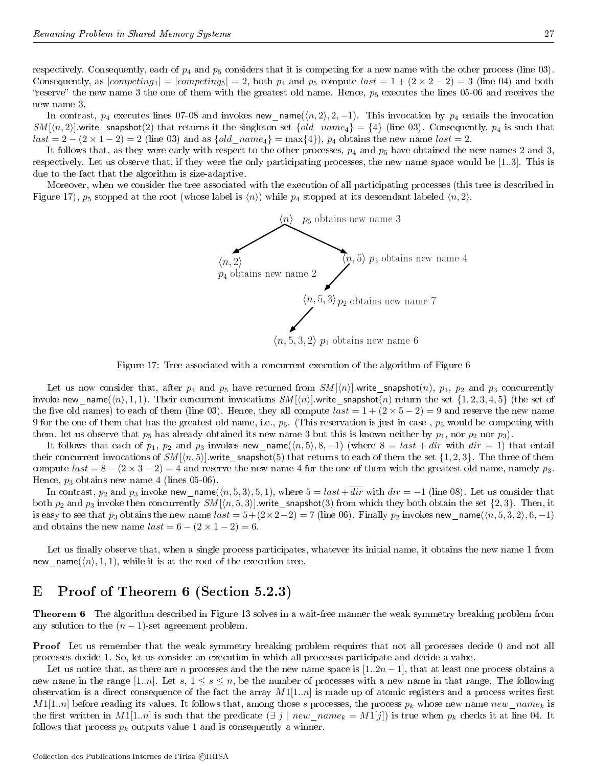respectively. Consequently, each of  $p_4$  and  $p_5$  considers that it is competing for a new name with the other process (line 03). Consequently, as  $|competing_4| = |competing_5| = 2$ , both  $p_4$  and  $p_5$  compute  $last = 1 + (2 \times 2 - 2) = 3$  (line 04) and both "reserve" the new name 3 the one of them with the greatest old name. Hence,  $p_5$  executes the lines 05-06 and receives the new name 3.

In contrast,  $p_4$  executes lines 07-08 and invokes new\_name( $\langle n, 2 \rangle$ , 2, -1). This invocation by  $p_4$  entails the invocation  $SM[\langle n, 2 \rangle]$  write\_snapshot(2) that returns it the singleton set  $\{old\_name_4\} = \{4\}$  (line 03). Consequently,  $p_4$  is such that  $last = 2 - (2 \times 1 - 2) = 2$  (line 03) and as  $\{old\_name_4\} = \max\{4\}$ ,  $p_4$  obtains the new name  $last = 2$ .

It follows that, as they were early with respect to the other processes,  $p_4$  and  $p_5$  have obtained the new names 2 and 3, respectively. Let us observe that, if they were the only participating processes, the new name space would be [1..3]. This is due to the fact that the algorithm is size-adaptive.

Moreover, when we consider the tree associated with the execution of all participating processes (this tree is described in Figure 17),  $p_5$  stopped at the root (whose label is  $\langle n \rangle$ ) while  $p_4$  stopped at its descendant labeled  $\langle n, 2 \rangle$ .



Figure 17: Tree associated with a concurrent execution of the algorithm of Figure 6

Let us now consider that, after  $p_4$  and  $p_5$  have returned from  $SM[\langle n \rangle]$ .write\_snapshot $(n)$ ,  $p_1$ ,  $p_2$  and  $p_3$  concurrently invoke new name $(\langle n \rangle, 1, 1)$ . Their concurrent invocations  $SM [\langle n \rangle]$ .write snapshot $(n)$  return the set  $\{1, 2, 3, 4, 5\}$  (the set of the five old names) to each of them (line 03). Hence, they all compute  $last = 1 + (2 \times 5 - 2) = 9$  and reserve the new name 9 for the one of them that has the greatest old name, i.e.,  $p_5$ . (This reservation is just in case,  $p_5$  would be competing with them. let us observe that  $p_5$  has already obtained its new name 3 but this is known neither by  $p_1$ , nor  $p_2$  nor  $p_3$ ).

It follows that each of  $p_1$ ,  $p_2$  and  $p_3$  invokes new name $(\langle n, 5 \rangle, 8, -1)$  (where  $8 = last + dir$  with  $dir = 1$ ) that entail their concurrent invocations of  $SM[\langle n, 5 \rangle]$ .write\_snapshot(5) that returns to each of them the set  $\{1, 2, 3\}$ . The three of them compute  $last = 8 - (2 \times 3 - 2) = 4$  and reserve the new name 4 for the one of them with the greatest old name, namely  $p_3$ . Hence,  $p_3$  obtains new name 4 (lines 05-06).

In contrast,  $p_2$  and  $p_3$  invoke new name $((n, 5, 3), 5, 1)$ , where  $5 = last+\overline{dir}$  with  $dir = -1$  (line 08). Let us consider that both  $p_2$  and  $p_3$  invoke then concurrently  $SM[(n, 5, 3)]$  write snapshot(3) from which they both obtain the set  $\{2, 3\}$ . Then, it is easy to see that  $p_3$  obtains the new name  $last = 5+(2\times2-2) = 7$  (line 06). Finally  $p_2$  invokes new\_name $(\langle n, 5, 3, 2 \rangle, 6, -1)$ and obtains the new name  $last = 6 - (2 \times 1 - 2) = 6$ .

Let us finally observe that, when a single process participates, whatever its initial name, it obtains the new name 1 from new name( $\langle n \rangle$ , 1, 1), while it is at the root of the execution tree.

## E Proof of Theorem 6 (Section 5.2.3)

Theorem 6 The algorithm described in Figure 13 solves in a wait-free manner the weak symmetry breaking problem from any solution to the  $(n-1)$ -set agreement problem.

Proof Let us remember that the weak symmetry breaking problem requires that not all processes decide 0 and not all processes decide 1. So, let us consider an execution in which all processes participate and decide a value.

Let us notice that, as there are n processes and the the new name space is  $[1..2n-1]$ , that at least one process obtains a new name in the range [1..n]. Let s,  $1 \leq s \leq n$ , be the number of processes with a new name in that range. The following observation is a direct consequence of the fact the array  $M1[1..n]$  is made up of atomic registers and a process writes first  $M1[1..n]$  before reading its values. It follows that, among those s processes, the process  $p_k$  whose new name  $new$  name<sub>k</sub> is the first written in M1[1..n] is such that the predicate  $(\exists j \mid new\_name_k = M1[j])$  is true when  $p_k$  checks it at line 04. It follows that process  $p_k$  outputs value 1 and is consequently a winner.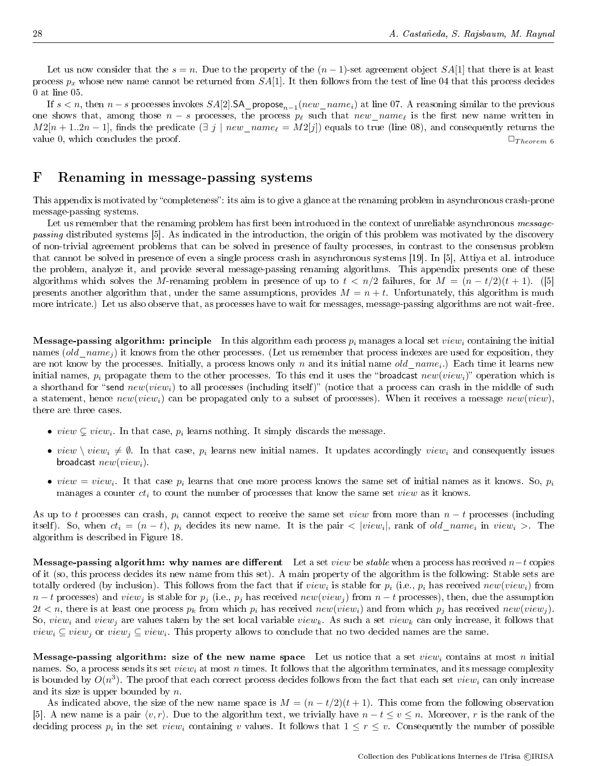Let us now consider that the  $s = n$ . Due to the property of the  $(n - 1)$ -set agreement object  $SA[1]$  that there is at least process  $p_x$  whose new name cannot be returned from  $SA[1]$ . It then follows from the test of line 04 that this process decides 0 at line 05.

If  $s < n$ , then  $n - s$  processes invokes  $SA[2]$ . SA\_propose<sub>n-1</sub>( $new\_name_i$ ) at line 07. A reasoning similar to the previous one shows that, among those  $n - s$  processes, the process  $p_\ell$  such that  $new\_name_\ell$  is the first new name written in  $M2[n+1..2n-1]$ , finds the predicate  $(\exists j \mid new\_name_{\ell} = M2[j])$  equals to true (line 08), and consequently returns the value 0, which concludes the proof.  $\Box_{Theorem 6}$ 

## F Renaming in message-passing systems

This appendix is motivated by "completeness": its aim is to give a glance at the renaming problem in asynchronous crash-prone message-passing systems.

Let us remember that the renaming problem has first been introduced in the context of unreliable asynchronous messagepassing distributed systems [5]. As indicated in the introduction, the origin of this problem was motivated by the discovery of non-trivial agreement problems that can be solved in presence of faulty processes, in contrast to the consensus problem that cannot be solved in presence of even a single process crash in asynchronous systems [19]. In [5], Attiya et al. introduce the problem, analyze it, and provide several message-passing renaming algorithms. This appendix presents one of these algorithms which solves the M-renaming problem in presence of up to  $t < n/2$  failures, for  $M = (n - t/2)(t + 1)$ . ([5] presents another algorithm that, under the same assumptions, provides  $M = n + t$ . Unfortunately, this algorithm is much more intricate.) Let us also observe that, as processes have to wait for messages, message-passing algorithms are not wait-free.

**Message-passing algorithm:** principle In this algorithm each process  $p_i$  manages a local set view<sub>i</sub> containing the initial names (old  $name_j$ ) it knows from the other processes. (Let us remember that process indexes are used for exposition, they are not know by the processes. Initially, a process knows only n and its initial name  $old\_name_i$ .) Each time it learns new initial names,  $p_i$  propagate them to the other processes. To this end it uses the "broadcast new(view<sub>i</sub>)" operation which is a shorthand for "send  $new(view_i)$  to all processes (including itself)" (notice that a process can crash in the middle of such a statement, hence  $new(view_i)$  can be propagated only to a subset of processes). When it receives a message  $new(view_i)$ , there are three cases.

- $view \subsetneq view_i$ . In that case,  $p_i$  learns nothing. It simply discards the message.
- $view \setminus view_i \neq \emptyset$ . In that case,  $p_i$  learns new initial names. It updates accordingly  $view_i$  and consequently issues broadcast  $new(view_i)$ .
- $view = view_i$ . It that case  $p_i$  learns that one more process knows the same set of initial names as it knows. So,  $p_i$ manages a counter  $ct_i$  to count the number of processes that know the same set *view* as it knows.

As up to t processes can crash,  $p_i$  cannot expect to receive the same set view from more than  $n - t$  processes (including itself). So, when  $ct_i = (n-t)$ ,  $p_i$  decides its new name. It is the pair  $\langle$  |view<sub>i</sub>|, rank of *old\_name<sub>i</sub>* in view<sub>i</sub>  $>$ . The algorithm is described in Figure 18.

Message-passing algorithm: why names are different Let a set view be stable when a process has received  $n-t$  copies of it (so, this process decides its new name from this set). A main property of the algorithm is the following: Stable sets are totally ordered (by inclusion). This follows from the fact that if  $view_i$  is stable for  $p_i$  (i.e.,  $p_i$  has received  $new(view_i)$  from  $n - t$  processes) and view<sub>i</sub> is stable for  $p_i$  (i.e.,  $p_i$  has received new(view<sub>i</sub>) from  $n - t$  processes), then, due the assumption  $2t < n$ , there is at least one process  $p_k$  from which  $p_i$  has received new(view<sub>i</sub>) and from which  $p_j$  has received new(view<sub>i</sub>). So, view<sub>i</sub> and view<sub>j</sub> are values taken by the set local variable view<sub>k</sub>. As such a set view<sub>k</sub> can only increase, it follows that  $view_i \subseteq view_j$  or  $view_j \subseteq view_i$ . This property allows to conclude that no two decided names are the same.

Message-passing algorithm: size of the new name space Let us notice that a set view<sub>i</sub> contains at most n initial names. So, a process sends its set  $view_i$  at most n times. It follows that the algorithm terminates, and its message complexity is bounded by  $O(n^3)$ . The proof that each correct process decides follows from the fact that each set  $view_i$  can only increase and its size is upper bounded by  $n$ .

As indicated above, the size of the new name space is  $M = (n - t/2)(t + 1)$ . This come from the following observation [5]. A new name is a pair  $\langle v, r \rangle$ . Due to the algorithm text, we trivially have  $n - t \le v \le n$ . Moreover, r is the rank of the deciding process  $p_i$  in the set view<sub>i</sub> containing v values. It follows that  $1 \le r \le v$ . Consequently the number of possible